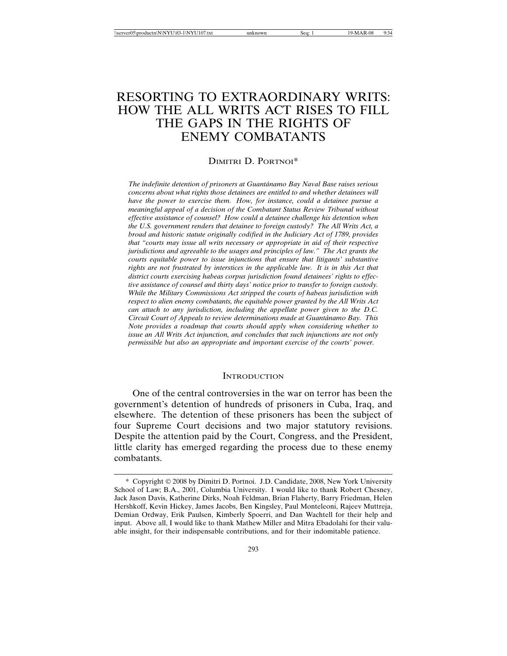# RESORTING TO EXTRAORDINARY WRITS: HOW THE ALL WRITS ACT RISES TO FILL THE GAPS IN THE RIGHTS OF ENEMY COMBATANTS

### DIMITRI D. PORTNOI\*

*The indefinite detention of prisoners at Guant´anamo Bay Naval Base raises serious concerns about what rights those detainees are entitled to and whether detainees will have the power to exercise them. How, for instance, could a detainee pursue a meaningful appeal of a decision of the Combatant Status Review Tribunal without effective assistance of counsel? How could a detainee challenge his detention when the U.S. government renders that detainee to foreign custody? The All Writs Act, a broad and historic statute originally codified in the Judiciary Act of 1789, provides that "courts may issue all writs necessary or appropriate in aid of their respective jurisdictions and agreeable to the usages and principles of law." The Act grants the courts equitable power to issue injunctions that ensure that litigants' substantive rights are not frustrated by interstices in the applicable law. It is in this Act that district courts exercising habeas corpus jurisdiction found detainees' rights to effective assistance of counsel and thirty days' notice prior to transfer to foreign custody. While the Military Commissions Act stripped the courts of habeas jurisdiction with respect to alien enemy combatants, the equitable power granted by the All Writs Act can attach to any jurisdiction, including the appellate power given to the D.C. Circuit Court of Appeals to review determinations made at Guant´anamo Bay. This Note provides a roadmap that courts should apply when considering whether to issue an All Writs Act injunction, and concludes that such injunctions are not only permissible but also an appropriate and important exercise of the courts' power.*

### **INTRODUCTION**

One of the central controversies in the war on terror has been the government's detention of hundreds of prisoners in Cuba, Iraq, and elsewhere. The detention of these prisoners has been the subject of four Supreme Court decisions and two major statutory revisions. Despite the attention paid by the Court, Congress, and the President, little clarity has emerged regarding the process due to these enemy combatants.

<sup>\*</sup> Copyright 2008 by Dimitri D. Portnoi. J.D. Candidate, 2008, New York University School of Law; B.A., 2001, Columbia University. I would like to thank Robert Chesney, Jack Jason Davis, Katherine Dirks, Noah Feldman, Brian Flaherty, Barry Friedman, Helen Hershkoff, Kevin Hickey, James Jacobs, Ben Kingsley, Paul Monteleoni, Rajeev Muttreja, Demian Ordway, Erik Paulsen, Kimberly Spoerri, and Dan Wachtell for their help and input. Above all, I would like to thank Mathew Miller and Mitra Ebadolahi for their valuable insight, for their indispensable contributions, and for their indomitable patience.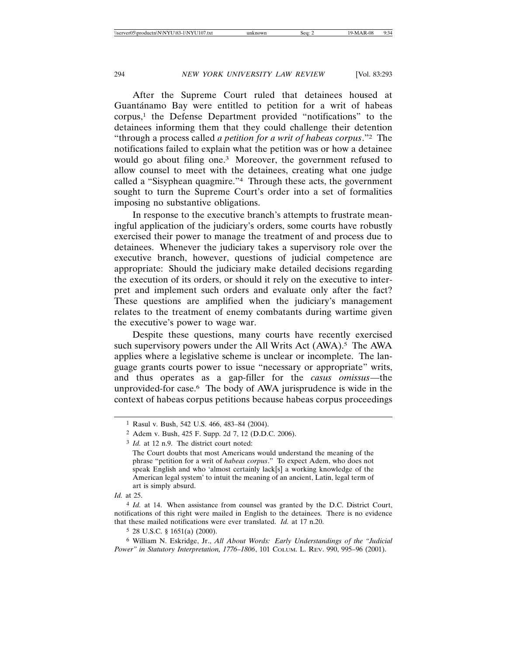After the Supreme Court ruled that detainees housed at Guantánamo Bay were entitled to petition for a writ of habeas corpus,<sup>1</sup> the Defense Department provided "notifications" to the detainees informing them that they could challenge their detention "through a process called *a petition for a writ of habeas corpus*."2 The notifications failed to explain what the petition was or how a detainee would go about filing one.3 Moreover, the government refused to allow counsel to meet with the detainees, creating what one judge called a "Sisyphean quagmire."4 Through these acts, the government sought to turn the Supreme Court's order into a set of formalities imposing no substantive obligations.

In response to the executive branch's attempts to frustrate meaningful application of the judiciary's orders, some courts have robustly exercised their power to manage the treatment of and process due to detainees. Whenever the judiciary takes a supervisory role over the executive branch, however, questions of judicial competence are appropriate: Should the judiciary make detailed decisions regarding the execution of its orders, or should it rely on the executive to interpret and implement such orders and evaluate only after the fact? These questions are amplified when the judiciary's management relates to the treatment of enemy combatants during wartime given the executive's power to wage war.

Despite these questions, many courts have recently exercised such supervisory powers under the All Writs Act (AWA).<sup>5</sup> The AWA applies where a legislative scheme is unclear or incomplete. The language grants courts power to issue "necessary or appropriate" writs, and thus operates as a gap-filler for the *casus omissus*—the unprovided-for case.6 The body of AWA jurisprudence is wide in the context of habeas corpus petitions because habeas corpus proceedings

5 28 U.S.C. § 1651(a) (2000).

<sup>1</sup> Rasul v. Bush, 542 U.S. 466, 483–84 (2004).

<sup>2</sup> Adem v. Bush, 425 F. Supp. 2d 7, 12 (D.D.C. 2006).

<sup>3</sup> *Id.* at 12 n.9. The district court noted:

The Court doubts that most Americans would understand the meaning of the phrase "petition for a writ of *habeas corpus*." To expect Adem, who does not speak English and who 'almost certainly lack[s] a working knowledge of the American legal system' to intuit the meaning of an ancient, Latin, legal term of art is simply absurd.

*Id.* at 25.

<sup>4</sup> *Id.* at 14. When assistance from counsel was granted by the D.C. District Court, notifications of this right were mailed in English to the detainees. There is no evidence that these mailed notifications were ever translated. *Id.* at 17 n.20.

<sup>6</sup> William N. Eskridge, Jr., *All About Words: Early Understandings of the "Judicial Power" in Statutory Interpretation, 1776–1806*, 101 COLUM. L. REV. 990, 995–96 (2001).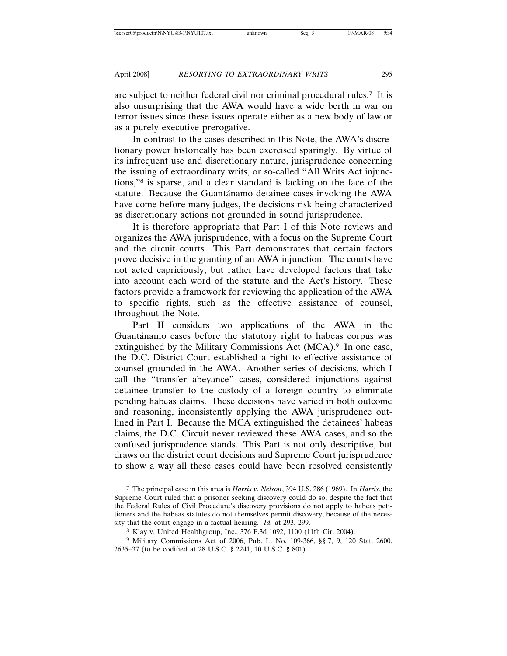are subject to neither federal civil nor criminal procedural rules.7 It is also unsurprising that the AWA would have a wide berth in war on terror issues since these issues operate either as a new body of law or as a purely executive prerogative.

In contrast to the cases described in this Note, the AWA's discretionary power historically has been exercised sparingly. By virtue of its infrequent use and discretionary nature, jurisprudence concerning the issuing of extraordinary writs, or so-called "All Writs Act injunctions,"8 is sparse, and a clear standard is lacking on the face of the statute. Because the Guantánamo detainee cases invoking the AWA have come before many judges, the decisions risk being characterized as discretionary actions not grounded in sound jurisprudence.

It is therefore appropriate that Part I of this Note reviews and organizes the AWA jurisprudence, with a focus on the Supreme Court and the circuit courts. This Part demonstrates that certain factors prove decisive in the granting of an AWA injunction. The courts have not acted capriciously, but rather have developed factors that take into account each word of the statute and the Act's history. These factors provide a framework for reviewing the application of the AWA to specific rights, such as the effective assistance of counsel, throughout the Note.

Part II considers two applications of the AWA in the Guantánamo cases before the statutory right to habeas corpus was extinguished by the Military Commissions Act (MCA).<sup>9</sup> In one case, the D.C. District Court established a right to effective assistance of counsel grounded in the AWA. Another series of decisions, which I call the "transfer abeyance" cases, considered injunctions against detainee transfer to the custody of a foreign country to eliminate pending habeas claims. These decisions have varied in both outcome and reasoning, inconsistently applying the AWA jurisprudence outlined in Part I. Because the MCA extinguished the detainees' habeas claims, the D.C. Circuit never reviewed these AWA cases, and so the confused jurisprudence stands. This Part is not only descriptive, but draws on the district court decisions and Supreme Court jurisprudence to show a way all these cases could have been resolved consistently

<sup>7</sup> The principal case in this area is *Harris v. Nelson*, 394 U.S. 286 (1969). In *Harris*, the Supreme Court ruled that a prisoner seeking discovery could do so, despite the fact that the Federal Rules of Civil Procedure's discovery provisions do not apply to habeas petitioners and the habeas statutes do not themselves permit discovery, because of the necessity that the court engage in a factual hearing. *Id.* at 293, 299.

<sup>8</sup> Klay v. United Healthgroup, Inc., 376 F.3d 1092, 1100 (11th Cir. 2004).

<sup>9</sup> Military Commissions Act of 2006, Pub. L. No. 109-366, §§ 7, 9, 120 Stat. 2600, 2635–37 (to be codified at 28 U.S.C. § 2241, 10 U.S.C. § 801).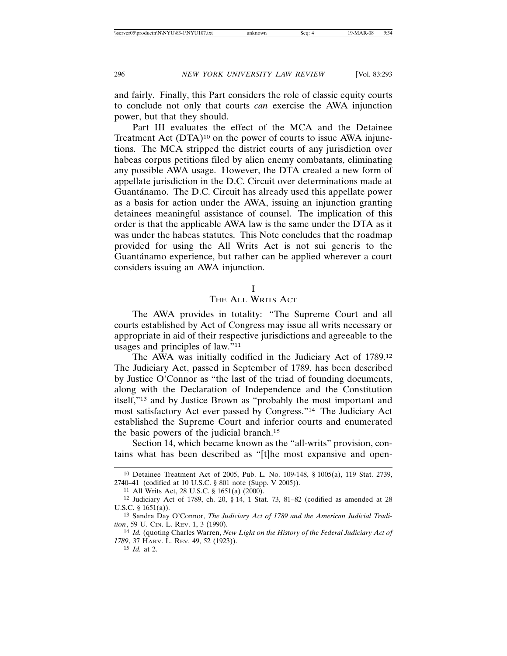and fairly. Finally, this Part considers the role of classic equity courts to conclude not only that courts *can* exercise the AWA injunction power, but that they should.

Part III evaluates the effect of the MCA and the Detainee Treatment Act (DTA)<sup>10</sup> on the power of courts to issue AWA injunctions. The MCA stripped the district courts of any jurisdiction over habeas corpus petitions filed by alien enemy combatants, eliminating any possible AWA usage. However, the DTA created a new form of appellate jurisdiction in the D.C. Circuit over determinations made at Guantánamo. The D.C. Circuit has already used this appellate power as a basis for action under the AWA, issuing an injunction granting detainees meaningful assistance of counsel. The implication of this order is that the applicable AWA law is the same under the DTA as it was under the habeas statutes. This Note concludes that the roadmap provided for using the All Writs Act is not sui generis to the Guantánamo experience, but rather can be applied wherever a court considers issuing an AWA injunction.

# I

### THE ALL WRITS ACT

The AWA provides in totality: "The Supreme Court and all courts established by Act of Congress may issue all writs necessary or appropriate in aid of their respective jurisdictions and agreeable to the usages and principles of law."11

The AWA was initially codified in the Judiciary Act of 1789.12 The Judiciary Act, passed in September of 1789, has been described by Justice O'Connor as "the last of the triad of founding documents, along with the Declaration of Independence and the Constitution itself,"13 and by Justice Brown as "probably the most important and most satisfactory Act ever passed by Congress."14 The Judiciary Act established the Supreme Court and inferior courts and enumerated the basic powers of the judicial branch.15

Section 14, which became known as the "all-writs" provision, contains what has been described as "[t]he most expansive and open-

15 *Id.* at 2.

<sup>10</sup> Detainee Treatment Act of 2005, Pub. L. No. 109-148, § 1005(a), 119 Stat. 2739, 2740–41 (codified at 10 U.S.C. § 801 note (Supp. V 2005)).

<sup>11</sup> All Writs Act, 28 U.S.C. § 1651(a) (2000).

<sup>12</sup> Judiciary Act of 1789, ch. 20, § 14, 1 Stat. 73, 81–82 (codified as amended at 28 U.S.C. § 1651(a)).

<sup>13</sup> Sandra Day O'Connor, *The Judiciary Act of 1789 and the American Judicial Tradition*, 59 U. CIN. L. REV. 1, 3 (1990).

<sup>14</sup> *Id.* (quoting Charles Warren, *New Light on the History of the Federal Judiciary Act of 1789*, 37 HARV. L. REV. 49, 52 (1923)).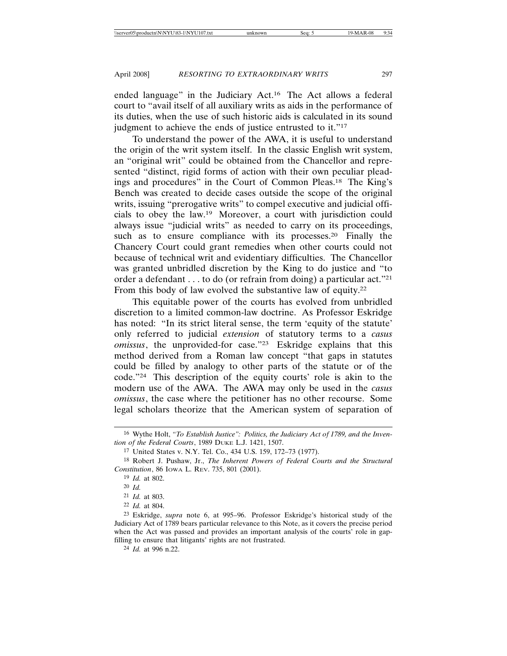ended language" in the Judiciary Act.16 The Act allows a federal court to "avail itself of all auxiliary writs as aids in the performance of its duties, when the use of such historic aids is calculated in its sound judgment to achieve the ends of justice entrusted to it."17

To understand the power of the AWA, it is useful to understand the origin of the writ system itself. In the classic English writ system, an "original writ" could be obtained from the Chancellor and represented "distinct, rigid forms of action with their own peculiar pleadings and procedures" in the Court of Common Pleas.18 The King's Bench was created to decide cases outside the scope of the original writs, issuing "prerogative writs" to compel executive and judicial officials to obey the law.19 Moreover, a court with jurisdiction could always issue "judicial writs" as needed to carry on its proceedings, such as to ensure compliance with its processes.<sup>20</sup> Finally the Chancery Court could grant remedies when other courts could not because of technical writ and evidentiary difficulties. The Chancellor was granted unbridled discretion by the King to do justice and "to order a defendant . . . to do (or refrain from doing) a particular act."21 From this body of law evolved the substantive law of equity.<sup>22</sup>

This equitable power of the courts has evolved from unbridled discretion to a limited common-law doctrine. As Professor Eskridge has noted: "In its strict literal sense, the term 'equity of the statute' only referred to judicial *extension* of statutory terms to a *casus omissus*, the unprovided-for case."23 Eskridge explains that this method derived from a Roman law concept "that gaps in statutes could be filled by analogy to other parts of the statute or of the code."24 This description of the equity courts' role is akin to the modern use of the AWA. The AWA may only be used in the *casus omissus*, the case where the petitioner has no other recourse. Some legal scholars theorize that the American system of separation of

<sup>16</sup> Wythe Holt, *"To Establish Justice": Politics, the Judiciary Act of 1789, and the Invention of the Federal Courts*, 1989 DUKE L.J. 1421, 1507.

<sup>17</sup> United States v. N.Y. Tel. Co., 434 U.S. 159, 172–73 (1977).

<sup>18</sup> Robert J. Pushaw, Jr., *The Inherent Powers of Federal Courts and the Structural Constitution*, 86 IOWA L. REV. 735, 801 (2001).

<sup>19</sup> *Id.* at 802.

<sup>20</sup> *Id.*

<sup>21</sup> *Id.* at 803.

<sup>22</sup> *Id.* at 804.

<sup>23</sup> Eskridge, *supra* note 6, at 995–96. Professor Eskridge's historical study of the Judiciary Act of 1789 bears particular relevance to this Note, as it covers the precise period when the Act was passed and provides an important analysis of the courts' role in gapfilling to ensure that litigants' rights are not frustrated.

<sup>24</sup> *Id.* at 996 n.22.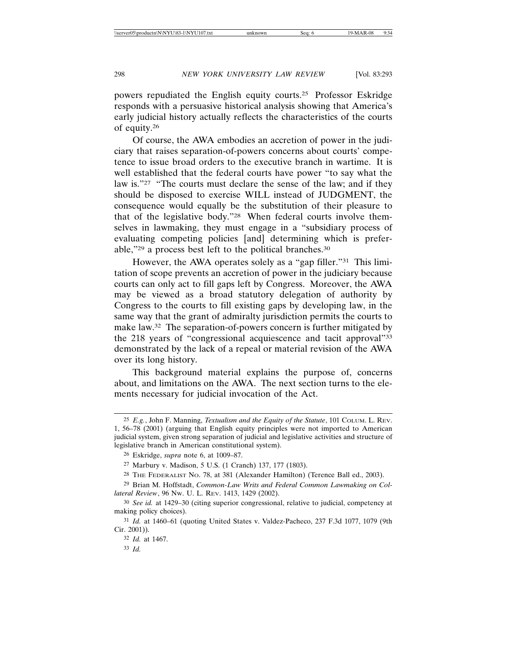powers repudiated the English equity courts.25 Professor Eskridge responds with a persuasive historical analysis showing that America's early judicial history actually reflects the characteristics of the courts of equity.26

Of course, the AWA embodies an accretion of power in the judiciary that raises separation-of-powers concerns about courts' competence to issue broad orders to the executive branch in wartime. It is well established that the federal courts have power "to say what the law is."<sup>27</sup> "The courts must declare the sense of the law; and if they should be disposed to exercise WILL instead of JUDGMENT, the consequence would equally be the substitution of their pleasure to that of the legislative body."28 When federal courts involve themselves in lawmaking, they must engage in a "subsidiary process of evaluating competing policies [and] determining which is preferable,"29 a process best left to the political branches.30

However, the AWA operates solely as a "gap filler."31 This limitation of scope prevents an accretion of power in the judiciary because courts can only act to fill gaps left by Congress. Moreover, the AWA may be viewed as a broad statutory delegation of authority by Congress to the courts to fill existing gaps by developing law, in the same way that the grant of admiralty jurisdiction permits the courts to make law.<sup>32</sup> The separation-of-powers concern is further mitigated by the 218 years of "congressional acquiescence and tacit approval"33 demonstrated by the lack of a repeal or material revision of the AWA over its long history.

This background material explains the purpose of, concerns about, and limitations on the AWA. The next section turns to the elements necessary for judicial invocation of the Act.

<sup>25</sup> *E.g.*, John F. Manning, *Textualism and the Equity of the Statute*, 101 COLUM. L. REV. 1, 56–78 (2001) (arguing that English equity principles were not imported to American judicial system, given strong separation of judicial and legislative activities and structure of legislative branch in American constitutional system).

<sup>26</sup> Eskridge, *supra* note 6, at 1009–87.

<sup>27</sup> Marbury v. Madison, 5 U.S. (1 Cranch) 137, 177 (1803).

<sup>28</sup> THE FEDERALIST NO. 78, at 381 (Alexander Hamilton) (Terence Ball ed., 2003).

<sup>29</sup> Brian M. Hoffstadt, *Common-Law Writs and Federal Common Lawmaking on Collateral Review*, 96 NW. U. L. REV. 1413, 1429 (2002).

<sup>30</sup> *See id.* at 1429–30 (citing superior congressional, relative to judicial, competency at making policy choices).

<sup>31</sup> *Id.* at 1460–61 (quoting United States v. Valdez-Pacheco, 237 F.3d 1077, 1079 (9th Cir. 2001)).

<sup>32</sup> *Id.* at 1467.

<sup>33</sup> *Id.*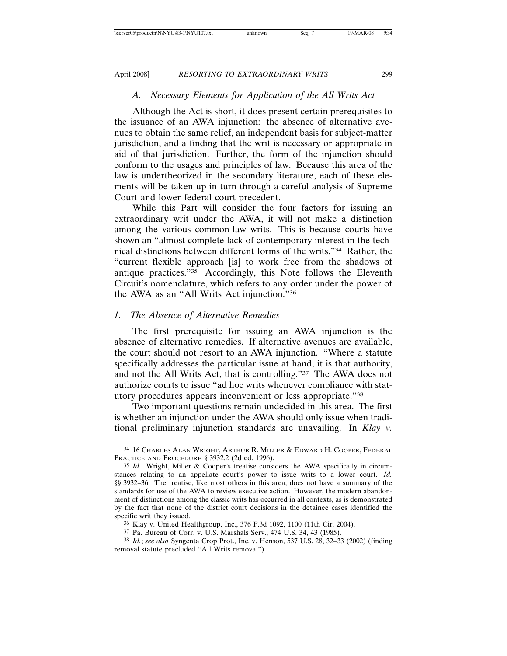# *A. Necessary Elements for Application of the All Writs Act*

Although the Act is short, it does present certain prerequisites to the issuance of an AWA injunction: the absence of alternative avenues to obtain the same relief, an independent basis for subject-matter jurisdiction, and a finding that the writ is necessary or appropriate in aid of that jurisdiction. Further, the form of the injunction should conform to the usages and principles of law. Because this area of the law is undertheorized in the secondary literature, each of these elements will be taken up in turn through a careful analysis of Supreme Court and lower federal court precedent.

While this Part will consider the four factors for issuing an extraordinary writ under the AWA, it will not make a distinction among the various common-law writs. This is because courts have shown an "almost complete lack of contemporary interest in the technical distinctions between different forms of the writs."34 Rather, the "current flexible approach [is] to work free from the shadows of antique practices."35 Accordingly, this Note follows the Eleventh Circuit's nomenclature, which refers to any order under the power of the AWA as an "All Writs Act injunction."36

### *1. The Absence of Alternative Remedies*

The first prerequisite for issuing an AWA injunction is the absence of alternative remedies. If alternative avenues are available, the court should not resort to an AWA injunction. "Where a statute specifically addresses the particular issue at hand, it is that authority, and not the All Writs Act, that is controlling."37 The AWA does not authorize courts to issue "ad hoc writs whenever compliance with statutory procedures appears inconvenient or less appropriate."38

Two important questions remain undecided in this area. The first is whether an injunction under the AWA should only issue when traditional preliminary injunction standards are unavailing. In *Klay v.*

<sup>34</sup> 16 CHARLES ALAN WRIGHT, ARTHUR R. MILLER & EDWARD H. COOPER, FEDERAL PRACTICE AND PROCEDURE § 3932.2 (2d ed. 1996).

<sup>35</sup> *Id.* Wright, Miller & Cooper's treatise considers the AWA specifically in circumstances relating to an appellate court's power to issue writs to a lower court. *Id.* §§ 3932–36. The treatise, like most others in this area, does not have a summary of the standards for use of the AWA to review executive action. However, the modern abandonment of distinctions among the classic writs has occurred in all contexts, as is demonstrated by the fact that none of the district court decisions in the detainee cases identified the specific writ they issued.

<sup>36</sup> Klay v. United Healthgroup, Inc., 376 F.3d 1092, 1100 (11th Cir. 2004).

<sup>37</sup> Pa. Bureau of Corr. v. U.S. Marshals Serv., 474 U.S. 34, 43 (1985).

<sup>38</sup> *Id.*; *see also* Syngenta Crop Prot., Inc. v. Henson, 537 U.S. 28, 32–33 (2002) (finding removal statute precluded "All Writs removal").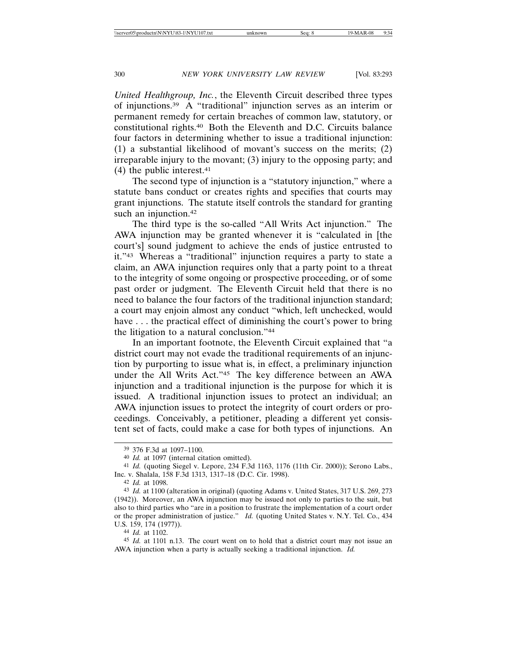*United Healthgroup, Inc.*, the Eleventh Circuit described three types of injunctions.39 A "traditional" injunction serves as an interim or permanent remedy for certain breaches of common law, statutory, or constitutional rights.40 Both the Eleventh and D.C. Circuits balance four factors in determining whether to issue a traditional injunction: (1) a substantial likelihood of movant's success on the merits; (2) irreparable injury to the movant; (3) injury to the opposing party; and  $(4)$  the public interest.<sup>41</sup>

The second type of injunction is a "statutory injunction," where a statute bans conduct or creates rights and specifies that courts may grant injunctions. The statute itself controls the standard for granting such an injunction.<sup>42</sup>

The third type is the so-called "All Writs Act injunction." The AWA injunction may be granted whenever it is "calculated in [the court's] sound judgment to achieve the ends of justice entrusted to it."43 Whereas a "traditional" injunction requires a party to state a claim, an AWA injunction requires only that a party point to a threat to the integrity of some ongoing or prospective proceeding, or of some past order or judgment. The Eleventh Circuit held that there is no need to balance the four factors of the traditional injunction standard; a court may enjoin almost any conduct "which, left unchecked, would have ... the practical effect of diminishing the court's power to bring the litigation to a natural conclusion."44

In an important footnote, the Eleventh Circuit explained that "a district court may not evade the traditional requirements of an injunction by purporting to issue what is, in effect, a preliminary injunction under the All Writs Act."45 The key difference between an AWA injunction and a traditional injunction is the purpose for which it is issued. A traditional injunction issues to protect an individual; an AWA injunction issues to protect the integrity of court orders or proceedings. Conceivably, a petitioner, pleading a different yet consistent set of facts, could make a case for both types of injunctions. An

44 *Id.* at 1102.

<sup>39</sup> 376 F.3d at 1097–1100.

<sup>40</sup> *Id.* at 1097 (internal citation omitted).

<sup>41</sup> *Id.* (quoting Siegel v. Lepore, 234 F.3d 1163, 1176 (11th Cir. 2000)); Serono Labs., Inc. v. Shalala, 158 F.3d 1313, 1317–18 (D.C. Cir. 1998).

<sup>42</sup> *Id.* at 1098.

<sup>43</sup> *Id.* at 1100 (alteration in original) (quoting Adams v. United States, 317 U.S. 269, 273 (1942)). Moreover, an AWA injunction may be issued not only to parties to the suit, but also to third parties who "are in a position to frustrate the implementation of a court order or the proper administration of justice." *Id.* (quoting United States v. N.Y. Tel. Co., 434 U.S. 159, 174 (1977)).

<sup>45</sup> *Id.* at 1101 n.13. The court went on to hold that a district court may not issue an AWA injunction when a party is actually seeking a traditional injunction. *Id.*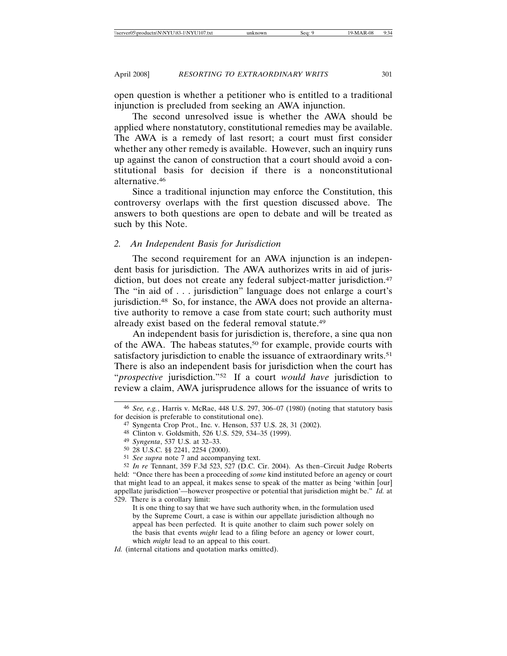open question is whether a petitioner who is entitled to a traditional injunction is precluded from seeking an AWA injunction.

The second unresolved issue is whether the AWA should be applied where nonstatutory, constitutional remedies may be available. The AWA is a remedy of last resort; a court must first consider whether any other remedy is available. However, such an inquiry runs up against the canon of construction that a court should avoid a constitutional basis for decision if there is a nonconstitutional alternative.46

Since a traditional injunction may enforce the Constitution, this controversy overlaps with the first question discussed above. The answers to both questions are open to debate and will be treated as such by this Note.

### *2. An Independent Basis for Jurisdiction*

The second requirement for an AWA injunction is an independent basis for jurisdiction. The AWA authorizes writs in aid of jurisdiction, but does not create any federal subject-matter jurisdiction.<sup>47</sup> The "in aid of . . . jurisdiction" language does not enlarge a court's jurisdiction.48 So, for instance, the AWA does not provide an alternative authority to remove a case from state court; such authority must already exist based on the federal removal statute.49

An independent basis for jurisdiction is, therefore, a sine qua non of the AWA. The habeas statutes,<sup>50</sup> for example, provide courts with satisfactory jurisdiction to enable the issuance of extraordinary writs.<sup>51</sup> There is also an independent basis for jurisdiction when the court has "*prospective* jurisdiction."52 If a court *would have* jurisdiction to review a claim, AWA jurisprudence allows for the issuance of writs to

<sup>46</sup> *See, e.g.*, Harris v. McRae, 448 U.S. 297, 306–07 (1980) (noting that statutory basis for decision is preferable to constitutional one).

<sup>47</sup> Syngenta Crop Prot., Inc. v. Henson, 537 U.S. 28, 31 (2002).

<sup>48</sup> Clinton v. Goldsmith, 526 U.S. 529, 534–35 (1999).

<sup>49</sup> *Syngenta*, 537 U.S. at 32–33.

<sup>50</sup> 28 U.S.C. §§ 2241, 2254 (2000).

<sup>51</sup> *See supra* note 7 and accompanying text.

<sup>52</sup> *In re* Tennant, 359 F.3d 523, 527 (D.C. Cir. 2004). As then–Circuit Judge Roberts held: "Once there has been a proceeding of *some* kind instituted before an agency or court that might lead to an appeal, it makes sense to speak of the matter as being 'within [our] appellate jurisdiction'—however prospective or potential that jurisdiction might be." *Id.* at 529. There is a corollary limit:

It is one thing to say that we have such authority when, in the formulation used by the Supreme Court, a case is within our appellate jurisdiction although no appeal has been perfected. It is quite another to claim such power solely on the basis that events *might* lead to a filing before an agency or lower court, which *might* lead to an appeal to this court.

*Id.* (internal citations and quotation marks omitted).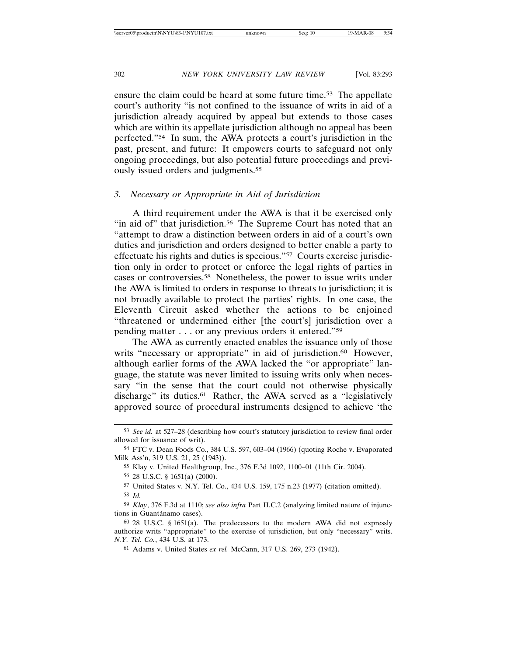ensure the claim could be heard at some future time.53 The appellate court's authority "is not confined to the issuance of writs in aid of a jurisdiction already acquired by appeal but extends to those cases which are within its appellate jurisdiction although no appeal has been perfected."54 In sum, the AWA protects a court's jurisdiction in the past, present, and future: It empowers courts to safeguard not only ongoing proceedings, but also potential future proceedings and previously issued orders and judgments.55

### *3. Necessary or Appropriate in Aid of Jurisdiction*

A third requirement under the AWA is that it be exercised only "in aid of" that jurisdiction.<sup>56</sup> The Supreme Court has noted that an "attempt to draw a distinction between orders in aid of a court's own duties and jurisdiction and orders designed to better enable a party to effectuate his rights and duties is specious."57 Courts exercise jurisdiction only in order to protect or enforce the legal rights of parties in cases or controversies.58 Nonetheless, the power to issue writs under the AWA is limited to orders in response to threats to jurisdiction; it is not broadly available to protect the parties' rights. In one case, the Eleventh Circuit asked whether the actions to be enjoined "threatened or undermined either [the court's] jurisdiction over a pending matter . . . or any previous orders it entered."59

The AWA as currently enacted enables the issuance only of those writs "necessary or appropriate" in aid of jurisdiction.<sup>60</sup> However, although earlier forms of the AWA lacked the "or appropriate" language, the statute was never limited to issuing writs only when necessary "in the sense that the court could not otherwise physically discharge" its duties.<sup>61</sup> Rather, the AWA served as a "legislatively approved source of procedural instruments designed to achieve 'the

<sup>53</sup> *See id.* at 527–28 (describing how court's statutory jurisdiction to review final order allowed for issuance of writ).

<sup>54</sup> FTC v. Dean Foods Co., 384 U.S. 597, 603–04 (1966) (quoting Roche v. Evaporated Milk Ass'n, 319 U.S. 21, 25 (1943)).

<sup>55</sup> Klay v. United Healthgroup, Inc., 376 F.3d 1092, 1100–01 (11th Cir. 2004).

<sup>56</sup> 28 U.S.C. § 1651(a) (2000).

<sup>57</sup> United States v. N.Y. Tel. Co., 434 U.S. 159, 175 n.23 (1977) (citation omitted). 58 *Id.*

<sup>59</sup> *Klay*, 376 F.3d at 1110; *see also infra* Part II.C.2 (analyzing limited nature of injunctions in Guantánamo cases).

<sup>60</sup> 28 U.S.C. § 1651(a). The predecessors to the modern AWA did not expressly authorize writs "appropriate" to the exercise of jurisdiction, but only "necessary" writs. *N.Y. Tel. Co.*, 434 U.S. at 173.

<sup>61</sup> Adams v. United States *ex rel.* McCann, 317 U.S. 269, 273 (1942).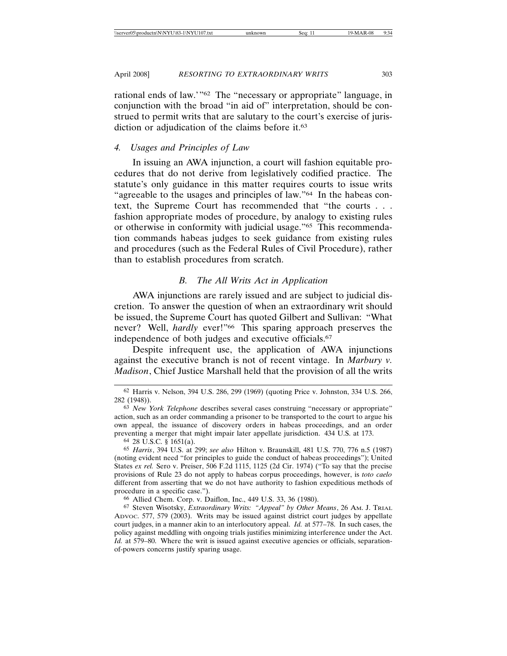rational ends of law.'"62 The "necessary or appropriate" language, in conjunction with the broad "in aid of" interpretation, should be construed to permit writs that are salutary to the court's exercise of jurisdiction or adjudication of the claims before it.<sup>63</sup>

# *4. Usages and Principles of Law*

In issuing an AWA injunction, a court will fashion equitable procedures that do not derive from legislatively codified practice. The statute's only guidance in this matter requires courts to issue writs "agreeable to the usages and principles of law."64 In the habeas context, the Supreme Court has recommended that "the courts . . . fashion appropriate modes of procedure, by analogy to existing rules or otherwise in conformity with judicial usage."65 This recommendation commands habeas judges to seek guidance from existing rules and procedures (such as the Federal Rules of Civil Procedure), rather than to establish procedures from scratch.

### *B. The All Writs Act in Application*

AWA injunctions are rarely issued and are subject to judicial discretion. To answer the question of when an extraordinary writ should be issued, the Supreme Court has quoted Gilbert and Sullivan: "What never? Well, *hardly* ever!"<sup>66</sup> This sparing approach preserves the independence of both judges and executive officials.67

Despite infrequent use, the application of AWA injunctions against the executive branch is not of recent vintage. In *Marbury v. Madison*, Chief Justice Marshall held that the provision of all the writs

64 28 U.S.C. § 1651(a).

<sup>62</sup> Harris v. Nelson, 394 U.S. 286, 299 (1969) (quoting Price v. Johnston, 334 U.S. 266, 282 (1948)).

<sup>63</sup> *New York Telephone* describes several cases construing "necessary or appropriate" action, such as an order commanding a prisoner to be transported to the court to argue his own appeal, the issuance of discovery orders in habeas proceedings, and an order preventing a merger that might impair later appellate jurisdiction. 434 U.S. at 173.

<sup>65</sup> *Harris*, 394 U.S. at 299; *see also* Hilton v. Braunskill, 481 U.S. 770, 776 n.5 (1987) (noting evident need "for principles to guide the conduct of habeas proceedings"); United States *ex rel.* Sero v. Preiser, 506 F.2d 1115, 1125 (2d Cir. 1974) ("To say that the precise provisions of Rule 23 do not apply to habeas corpus proceedings, however, is *toto caelo* different from asserting that we do not have authority to fashion expeditious methods of procedure in a specific case.").

<sup>66</sup> Allied Chem. Corp. v. Daiflon, Inc., 449 U.S. 33, 36 (1980).

<sup>67</sup> Steven Wisotsky, *Extraordinary Writs: "Appeal" by Other Means*, 26 AM. J. TRIAL ADVOC. 577, 579 (2003). Writs may be issued against district court judges by appellate court judges, in a manner akin to an interlocutory appeal. *Id.* at 577–78. In such cases, the policy against meddling with ongoing trials justifies minimizing interference under the Act. *Id.* at 579–80. Where the writ is issued against executive agencies or officials, separationof-powers concerns justify sparing usage.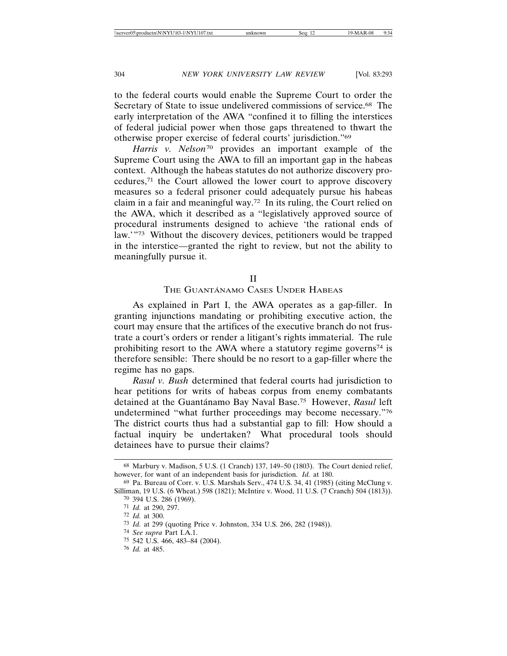to the federal courts would enable the Supreme Court to order the Secretary of State to issue undelivered commissions of service.68 The early interpretation of the AWA "confined it to filling the interstices of federal judicial power when those gaps threatened to thwart the otherwise proper exercise of federal courts' jurisdiction."69

*Harris v. Nelson*70 provides an important example of the Supreme Court using the AWA to fill an important gap in the habeas context. Although the habeas statutes do not authorize discovery procedures,71 the Court allowed the lower court to approve discovery measures so a federal prisoner could adequately pursue his habeas claim in a fair and meaningful way.72 In its ruling, the Court relied on the AWA, which it described as a "legislatively approved source of procedural instruments designed to achieve 'the rational ends of law.'"73 Without the discovery devices, petitioners would be trapped in the interstice—granted the right to review, but not the ability to meaningfully pursue it.

### II

### THE GUANTÁNAMO CASES UNDER HABEAS

As explained in Part I, the AWA operates as a gap-filler. In granting injunctions mandating or prohibiting executive action, the court may ensure that the artifices of the executive branch do not frustrate a court's orders or render a litigant's rights immaterial. The rule prohibiting resort to the AWA where a statutory regime governs74 is therefore sensible: There should be no resort to a gap-filler where the regime has no gaps.

*Rasul v. Bush* determined that federal courts had jurisdiction to hear petitions for writs of habeas corpus from enemy combatants detained at the Guantánamo Bay Naval Base.<sup>75</sup> However, *Rasul* left undetermined "what further proceedings may become necessary."76 The district courts thus had a substantial gap to fill: How should a factual inquiry be undertaken? What procedural tools should detainees have to pursue their claims?

<sup>68</sup> Marbury v. Madison, 5 U.S. (1 Cranch) 137, 149–50 (1803). The Court denied relief, however, for want of an independent basis for jurisdiction. *Id.* at 180.

<sup>69</sup> Pa. Bureau of Corr. v. U.S. Marshals Serv., 474 U.S. 34, 41 (1985) (citing McClung v. Silliman, 19 U.S. (6 Wheat.) 598 (1821); McIntire v. Wood, 11 U.S. (7 Cranch) 504 (1813)). 70 394 U.S. 286 (1969).

<sup>71</sup> *Id.* at 290, 297.

<sup>72</sup> *Id.* at 300.

<sup>73</sup> *Id.* at 299 (quoting Price v. Johnston, 334 U.S. 266, 282 (1948)).

<sup>74</sup> *See supra* Part I.A.1.

<sup>75</sup> 542 U.S. 466, 483–84 (2004).

<sup>76</sup> *Id.* at 485.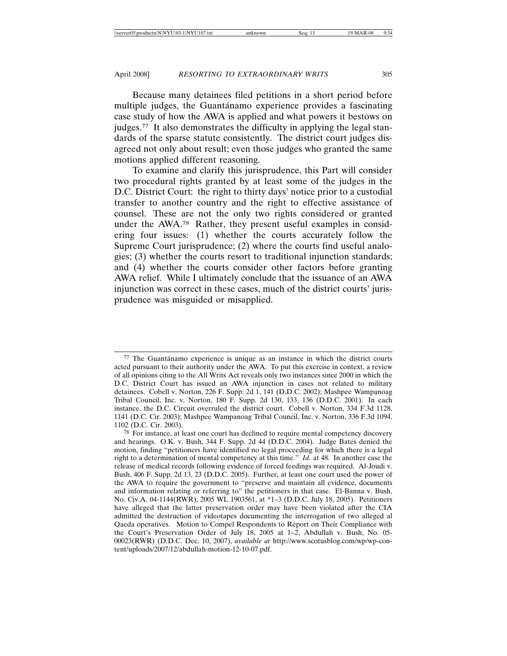Because many detainees filed petitions in a short period before multiple judges, the Guantánamo experience provides a fascinating case study of how the AWA is applied and what powers it bestows on judges.77 It also demonstrates the difficulty in applying the legal standards of the sparse statute consistently. The district court judges disagreed not only about result; even those judges who granted the same motions applied different reasoning.

To examine and clarify this jurisprudence, this Part will consider two procedural rights granted by at least some of the judges in the D.C. District Court: the right to thirty days' notice prior to a custodial transfer to another country and the right to effective assistance of counsel. These are not the only two rights considered or granted under the AWA.78 Rather, they present useful examples in considering four issues: (1) whether the courts accurately follow the Supreme Court jurisprudence; (2) where the courts find useful analogies; (3) whether the courts resort to traditional injunction standards; and (4) whether the courts consider other factors before granting AWA relief. While I ultimately conclude that the issuance of an AWA injunction was correct in these cases, much of the district courts' jurisprudence was misguided or misapplied.

 $77$  The Guantánamo experience is unique as an instance in which the district courts acted pursuant to their authority under the AWA. To put this exercise in context, a review of all opinions citing to the All Writs Act reveals only two instances since 2000 in which the D.C. District Court has issued an AWA injunction in cases not related to military detainees. Cobell v. Norton, 226 F. Supp. 2d 1, 141 (D.D.C. 2002); Mashpee Wampanoag Tribal Council, Inc. v. Norton, 180 F. Supp. 2d 130, 133, 136 (D.D.C. 2001). In each instance, the D.C. Circuit overruled the district court. Cobell v. Norton, 334 F.3d 1128, 1141 (D.C. Cir. 2003); Mashpee Wampanoag Tribal Council, Inc. v. Norton, 336 F.3d 1094, 1102 (D.C. Cir. 2003).

<sup>78</sup> For instance, at least one court has declined to require mental competency discovery and hearings. O.K. v. Bush, 344 F. Supp. 2d 44 (D.D.C. 2004). Judge Bates denied the motion, finding "petitioners have identified no legal proceeding for which there is a legal right to a determination of mental competency at this time." *Id.* at 48. In another case the release of medical records following evidence of forced feedings was required. Al-Joudi v. Bush, 406 F. Supp. 2d 13, 23 (D.D.C. 2005). Further, at least one court used the power of the AWA to require the government to "preserve and maintain all evidence, documents and information relating or referring to" the petitioners in that case. El-Banna v. Bush, No. Civ.A. 04-1144(RWR), 2005 WL 1903561, at \*1–3 (D.D.C. July 18, 2005). Petitioners have alleged that the latter preservation order may have been violated after the CIA admitted the destruction of videotapes documenting the interrogation of two alleged al Qaeda operatives. Motion to Compel Respondents to Report on Their Compliance with the Court's Preservation Order of July 18, 2005 at 1–2, Abdullah v. Bush, No. 05- 00023(RWR) (D.D.C. Dec. 10, 2007), *available at* http://www.scotusblog.com/wp/wp-content/uploads/2007/12/abdullah-motion-12-10-07.pdf.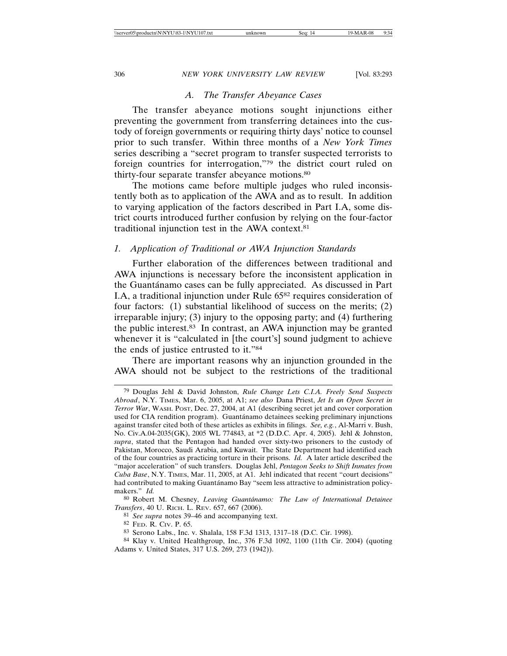### *A. The Transfer Abeyance Cases*

The transfer abeyance motions sought injunctions either preventing the government from transferring detainees into the custody of foreign governments or requiring thirty days' notice to counsel prior to such transfer. Within three months of a *New York Times* series describing a "secret program to transfer suspected terrorists to foreign countries for interrogation,"79 the district court ruled on thirty-four separate transfer abeyance motions.80

The motions came before multiple judges who ruled inconsistently both as to application of the AWA and as to result. In addition to varying application of the factors described in Part I.A, some district courts introduced further confusion by relying on the four-factor traditional injunction test in the AWA context.81

### *1. Application of Traditional or AWA Injunction Standards*

Further elaboration of the differences between traditional and AWA injunctions is necessary before the inconsistent application in the Guantánamo cases can be fully appreciated. As discussed in Part I.A, a traditional injunction under Rule 6582 requires consideration of four factors: (1) substantial likelihood of success on the merits; (2) irreparable injury; (3) injury to the opposing party; and (4) furthering the public interest.83 In contrast, an AWA injunction may be granted whenever it is "calculated in [the court's] sound judgment to achieve the ends of justice entrusted to it."84

There are important reasons why an injunction grounded in the AWA should not be subject to the restrictions of the traditional

<sup>79</sup> Douglas Jehl & David Johnston, *Rule Change Lets C.I.A. Freely Send Suspects Abroad*, N.Y. TIMES, Mar. 6, 2005, at A1; *see also* Dana Priest, *Jet Is an Open Secret in Terror War*, WASH. POST, Dec. 27, 2004, at A1 (describing secret jet and cover corporation used for CIA rendition program). Guantánamo detainees seeking preliminary injunctions against transfer cited both of these articles as exhibits in filings. *See, e.g.*, Al-Marri v. Bush, No. Civ.A.04-2035(GK), 2005 WL 774843, at \*2 (D.D.C. Apr. 4, 2005). Jehl & Johnston, *supra*, stated that the Pentagon had handed over sixty-two prisoners to the custody of Pakistan, Morocco, Saudi Arabia, and Kuwait. The State Department had identified each of the four countries as practicing torture in their prisons. *Id.* A later article described the "major acceleration" of such transfers. Douglas Jehl, *Pentagon Seeks to Shift Inmates from Cuba Base*, N.Y. TIMES, Mar. 11, 2005, at A1. Jehl indicated that recent "court decisions" had contributed to making Guantánamo Bay "seem less attractive to administration policymakers." *Id.*

<sup>80</sup> Robert M. Chesney, *Leaving Guantánamo: The Law of International Detainee Transfers*, 40 U. RICH. L. REV. 657, 667 (2006).

<sup>81</sup> *See supra* notes 39–46 and accompanying text.

<sup>82</sup> FED. R. CIV. P. 65.

<sup>83</sup> Serono Labs., Inc. v. Shalala, 158 F.3d 1313, 1317–18 (D.C. Cir. 1998).

<sup>84</sup> Klay v. United Healthgroup, Inc., 376 F.3d 1092, 1100 (11th Cir. 2004) (quoting Adams v. United States, 317 U.S. 269, 273 (1942)).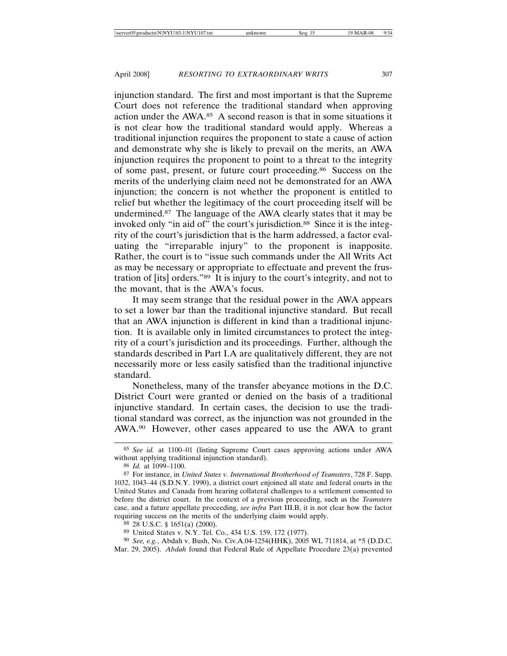injunction standard. The first and most important is that the Supreme Court does not reference the traditional standard when approving action under the AWA.85 A second reason is that in some situations it is not clear how the traditional standard would apply. Whereas a traditional injunction requires the proponent to state a cause of action and demonstrate why she is likely to prevail on the merits, an AWA injunction requires the proponent to point to a threat to the integrity of some past, present, or future court proceeding.86 Success on the merits of the underlying claim need not be demonstrated for an AWA injunction; the concern is not whether the proponent is entitled to relief but whether the legitimacy of the court proceeding itself will be undermined.87 The language of the AWA clearly states that it may be invoked only "in aid of" the court's jurisdiction.<sup>88</sup> Since it is the integrity of the court's jurisdiction that is the harm addressed, a factor evaluating the "irreparable injury" to the proponent is inapposite. Rather, the court is to "issue such commands under the All Writs Act as may be necessary or appropriate to effectuate and prevent the frustration of [its] orders."89 It is injury to the court's integrity, and not to the movant, that is the AWA's focus.

It may seem strange that the residual power in the AWA appears to set a lower bar than the traditional injunctive standard. But recall that an AWA injunction is different in kind than a traditional injunction. It is available only in limited circumstances to protect the integrity of a court's jurisdiction and its proceedings. Further, although the standards described in Part I.A are qualitatively different, they are not necessarily more or less easily satisfied than the traditional injunctive standard.

Nonetheless, many of the transfer abeyance motions in the D.C. District Court were granted or denied on the basis of a traditional injunctive standard. In certain cases, the decision to use the traditional standard was correct, as the injunction was not grounded in the AWA.90 However, other cases appeared to use the AWA to grant

<sup>85</sup> *See id.* at 1100–01 (listing Supreme Court cases approving actions under AWA without applying traditional injunction standard).

<sup>86</sup> *Id.* at 1099–1100.

<sup>87</sup> For instance, in *United States v. International Brotherhood of Teamsters*, 728 F. Supp. 1032, 1043–44 (S.D.N.Y. 1990), a district court enjoined all state and federal courts in the United States and Canada from hearing collateral challenges to a settlement consented to before the district court. In the context of a previous proceeding, such as the *Teamsters* case, and a future appellate proceeding, *see infra* Part III.B, it is not clear how the factor requiring success on the merits of the underlying claim would apply.

<sup>88</sup> 28 U.S.C. § 1651(a) (2000).

<sup>89</sup> United States v. N.Y. Tel. Co., 434 U.S. 159, 172 (1977).

<sup>90</sup> *See, e.g.*, Abdah v. Bush, No. Civ.A.04-1254(HHK), 2005 WL 711814, at \*5 (D.D.C. Mar. 29, 2005). *Abdah* found that Federal Rule of Appellate Procedure 23(a) prevented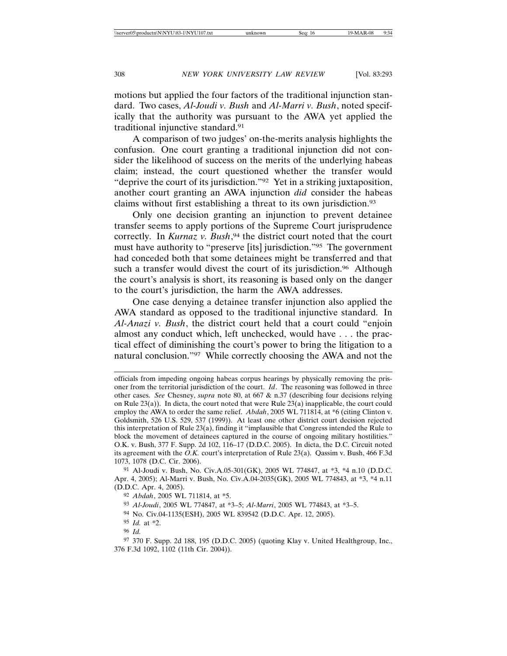motions but applied the four factors of the traditional injunction standard. Two cases, *Al-Joudi v. Bush* and *Al-Marri v. Bush*, noted specifically that the authority was pursuant to the AWA yet applied the traditional injunctive standard.91

A comparison of two judges' on-the-merits analysis highlights the confusion. One court granting a traditional injunction did not consider the likelihood of success on the merits of the underlying habeas claim; instead, the court questioned whether the transfer would "deprive the court of its jurisdiction."92 Yet in a striking juxtaposition, another court granting an AWA injunction *did* consider the habeas claims without first establishing a threat to its own jurisdiction.93

Only one decision granting an injunction to prevent detainee transfer seems to apply portions of the Supreme Court jurisprudence correctly. In *Kurnaz v. Bush*, 94 the district court noted that the court must have authority to "preserve [its] jurisdiction."95 The government had conceded both that some detainees might be transferred and that such a transfer would divest the court of its jurisdiction.<sup>96</sup> Although the court's analysis is short, its reasoning is based only on the danger to the court's jurisdiction, the harm the AWA addresses.

One case denying a detainee transfer injunction also applied the AWA standard as opposed to the traditional injunctive standard. In *Al-Anazi v. Bush*, the district court held that a court could "enjoin almost any conduct which, left unchecked, would have . . . the practical effect of diminishing the court's power to bring the litigation to a natural conclusion."97 While correctly choosing the AWA and not the

96 *Id.*

officials from impeding ongoing habeas corpus hearings by physically removing the prisoner from the territorial jurisdiction of the court. *Id*. The reasoning was followed in three other cases. *See* Chesney, *supra* note 80, at 667 & n.37 (describing four decisions relying on Rule 23(a)). In dicta, the court noted that were Rule 23(a) inapplicable, the court could employ the AWA to order the same relief. *Abdah*, 2005 WL 711814, at \*6 (citing Clinton v. Goldsmith, 526 U.S. 529, 537 (1999)). At least one other district court decision rejected this interpretation of Rule 23(a), finding it "implausible that Congress intended the Rule to block the movement of detainees captured in the course of ongoing military hostilities." O.K. v. Bush, 377 F. Supp. 2d 102, 116–17 (D.D.C. 2005). In dicta, the D.C. Circuit noted its agreement with the *O.K.* court's interpretation of Rule 23(a). Qassim v. Bush, 466 F.3d 1073, 1078 (D.C. Cir. 2006).

<sup>91</sup> Al-Joudi v. Bush, No. Civ.A.05-301(GK), 2005 WL 774847, at \*3, \*4 n.10 (D.D.C. Apr. 4, 2005); Al-Marri v. Bush, No. Civ.A.04-2035(GK), 2005 WL 774843, at \*3, \*4 n.11 (D.D.C. Apr. 4, 2005).

<sup>92</sup> *Abdah*, 2005 WL 711814, at \*5.

<sup>93</sup> *Al-Joudi*, 2005 WL 774847, at \*3–5; *Al-Marri*, 2005 WL 774843, at \*3–5.

<sup>94</sup> No. Civ.04-1135(ESH), 2005 WL 839542 (D.D.C. Apr. 12, 2005).

<sup>95</sup> *Id.* at \*2.

<sup>97</sup> 370 F. Supp. 2d 188, 195 (D.D.C. 2005) (quoting Klay v. United Healthgroup, Inc., 376 F.3d 1092, 1102 (11th Cir. 2004)).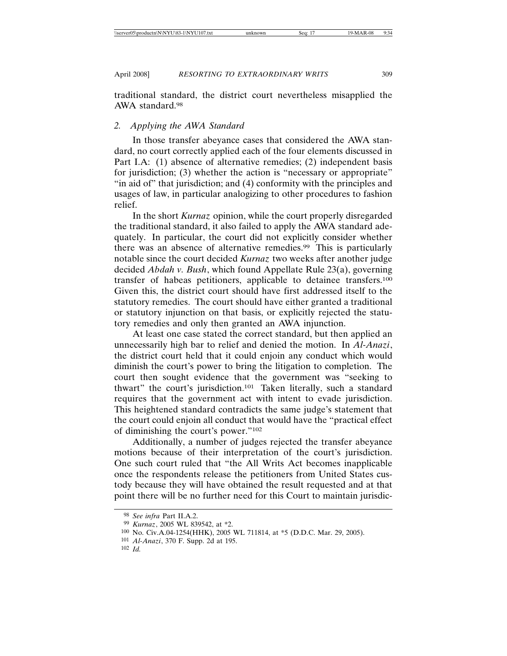traditional standard, the district court nevertheless misapplied the AWA standard.98

### *2. Applying the AWA Standard*

In those transfer abeyance cases that considered the AWA standard, no court correctly applied each of the four elements discussed in Part I.A: (1) absence of alternative remedies; (2) independent basis for jurisdiction; (3) whether the action is "necessary or appropriate" "in aid of" that jurisdiction; and (4) conformity with the principles and usages of law, in particular analogizing to other procedures to fashion relief.

In the short *Kurnaz* opinion, while the court properly disregarded the traditional standard, it also failed to apply the AWA standard adequately. In particular, the court did not explicitly consider whether there was an absence of alternative remedies.99 This is particularly notable since the court decided *Kurnaz* two weeks after another judge decided *Abdah v. Bush*, which found Appellate Rule 23(a), governing transfer of habeas petitioners, applicable to detainee transfers.100 Given this, the district court should have first addressed itself to the statutory remedies. The court should have either granted a traditional or statutory injunction on that basis, or explicitly rejected the statutory remedies and only then granted an AWA injunction.

At least one case stated the correct standard, but then applied an unnecessarily high bar to relief and denied the motion. In *Al-Anazi*, the district court held that it could enjoin any conduct which would diminish the court's power to bring the litigation to completion. The court then sought evidence that the government was "seeking to thwart" the court's jurisdiction.101 Taken literally, such a standard requires that the government act with intent to evade jurisdiction. This heightened standard contradicts the same judge's statement that the court could enjoin all conduct that would have the "practical effect of diminishing the court's power."102

Additionally, a number of judges rejected the transfer abeyance motions because of their interpretation of the court's jurisdiction. One such court ruled that "the All Writs Act becomes inapplicable once the respondents release the petitioners from United States custody because they will have obtained the result requested and at that point there will be no further need for this Court to maintain jurisdic-

<sup>98</sup> *See infra* Part II.A.2.

<sup>99</sup> *Kurnaz*, 2005 WL 839542, at \*2.

<sup>100</sup> No. Civ.A.04-1254(HHK), 2005 WL 711814, at \*5 (D.D.C. Mar. 29, 2005).

<sup>101</sup> *Al-Anazi*, 370 F. Supp. 2d at 195.

<sup>102</sup> *Id.*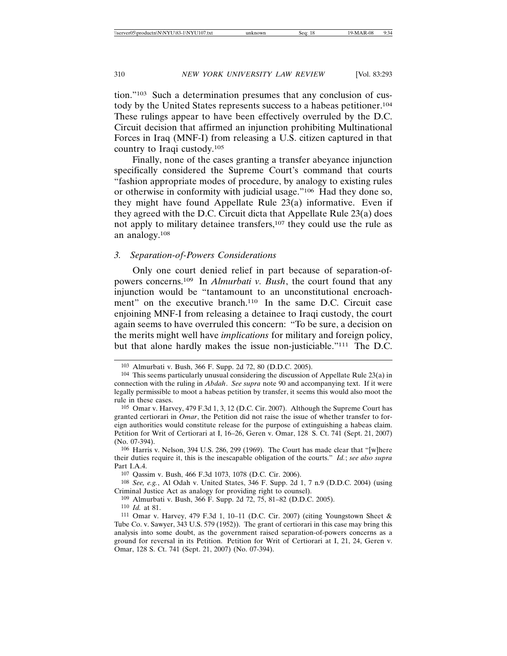tion."103 Such a determination presumes that any conclusion of custody by the United States represents success to a habeas petitioner.104 These rulings appear to have been effectively overruled by the D.C. Circuit decision that affirmed an injunction prohibiting Multinational Forces in Iraq (MNF-I) from releasing a U.S. citizen captured in that country to Iraqi custody.105

Finally, none of the cases granting a transfer abeyance injunction specifically considered the Supreme Court's command that courts "fashion appropriate modes of procedure, by analogy to existing rules or otherwise in conformity with judicial usage."106 Had they done so, they might have found Appellate Rule 23(a) informative. Even if they agreed with the D.C. Circuit dicta that Appellate Rule 23(a) does not apply to military detainee transfers,107 they could use the rule as an analogy.108

### *3. Separation-of-Powers Considerations*

Only one court denied relief in part because of separation-ofpowers concerns.109 In *Almurbati v. Bush*, the court found that any injunction would be "tantamount to an unconstitutional encroachment" on the executive branch.<sup>110</sup> In the same D.C. Circuit case enjoining MNF-I from releasing a detainee to Iraqi custody, the court again seems to have overruled this concern: "To be sure, a decision on the merits might well have *implications* for military and foreign policy, but that alone hardly makes the issue non-justiciable."111 The D.C.

<sup>103</sup> Almurbati v. Bush, 366 F. Supp. 2d 72, 80 (D.D.C. 2005).

<sup>104</sup> This seems particularly unusual considering the discussion of Appellate Rule 23(a) in connection with the ruling in *Abdah*. *See supra* note 90 and accompanying text. If it were legally permissible to moot a habeas petition by transfer, it seems this would also moot the rule in these cases.

<sup>105</sup> Omar v. Harvey, 479 F.3d 1, 3, 12 (D.C. Cir. 2007). Although the Supreme Court has granted certiorari in *Omar*, the Petition did not raise the issue of whether transfer to foreign authorities would constitute release for the purpose of extinguishing a habeas claim. Petition for Writ of Certiorari at I, 16–26, Geren v. Omar, 128 S. Ct. 741 (Sept. 21, 2007) (No. 07-394).

<sup>106</sup> Harris v. Nelson, 394 U.S. 286, 299 (1969). The Court has made clear that "[w]here their duties require it, this is the inescapable obligation of the courts." *Id.*; *see also supra* Part I.A.4.

<sup>107</sup> Qassim v. Bush, 466 F.3d 1073, 1078 (D.C. Cir. 2006).

<sup>108</sup> *See, e.g.*, Al Odah v. United States, 346 F. Supp. 2d 1, 7 n.9 (D.D.C. 2004) (using Criminal Justice Act as analogy for providing right to counsel).

<sup>109</sup> Almurbati v. Bush, 366 F. Supp. 2d 72, 75, 81–82 (D.D.C. 2005).

<sup>110</sup> *Id.* at 81.

<sup>111</sup> Omar v. Harvey, 479 F.3d 1, 10–11 (D.C. Cir. 2007) (citing Youngstown Sheet & Tube Co. v. Sawyer, 343 U.S. 579 (1952)). The grant of certiorari in this case may bring this analysis into some doubt, as the government raised separation-of-powers concerns as a ground for reversal in its Petition. Petition for Writ of Certiorari at I, 21, 24, Geren v. Omar, 128 S. Ct. 741 (Sept. 21, 2007) (No. 07-394).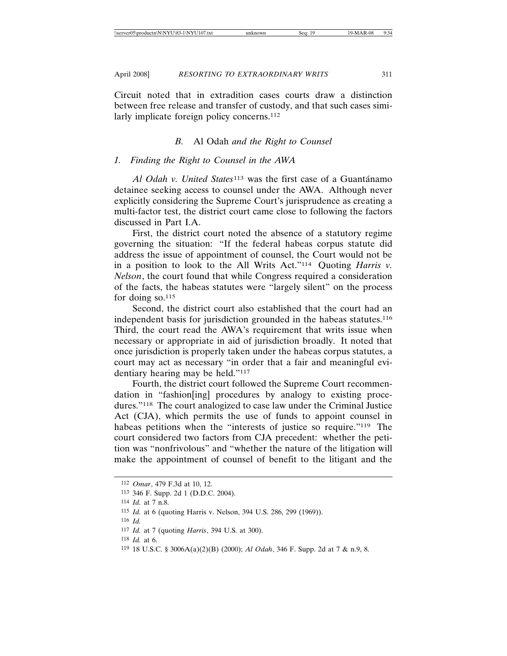Circuit noted that in extradition cases courts draw a distinction between free release and transfer of custody, and that such cases similarly implicate foreign policy concerns.<sup>112</sup>

### *B.* Al Odah *and the Right to Counsel*

### *1. Finding the Right to Counsel in the AWA*

*Al Odah v. United States*<sup>113</sup> was the first case of a Guantánamo detainee seeking access to counsel under the AWA. Although never explicitly considering the Supreme Court's jurisprudence as creating a multi-factor test, the district court came close to following the factors discussed in Part I.A.

First, the district court noted the absence of a statutory regime governing the situation: "If the federal habeas corpus statute did address the issue of appointment of counsel, the Court would not be in a position to look to the All Writs Act."114 Quoting *Harris v. Nelson*, the court found that while Congress required a consideration of the facts, the habeas statutes were "largely silent" on the process for doing  $\text{so.}^{115}$ 

Second, the district court also established that the court had an independent basis for jurisdiction grounded in the habeas statutes.116 Third, the court read the AWA's requirement that writs issue when necessary or appropriate in aid of jurisdiction broadly. It noted that once jurisdiction is properly taken under the habeas corpus statutes, a court may act as necessary "in order that a fair and meaningful evidentiary hearing may be held."117

Fourth, the district court followed the Supreme Court recommendation in "fashion[ing] procedures by analogy to existing procedures."118 The court analogized to case law under the Criminal Justice Act (CJA), which permits the use of funds to appoint counsel in habeas petitions when the "interests of justice so require."<sup>119</sup> The court considered two factors from CJA precedent: whether the petition was "nonfrivolous" and "whether the nature of the litigation will make the appointment of counsel of benefit to the litigant and the

118 *Id.* at 6.

<sup>112</sup> *Omar*, 479 F.3d at 10, 12.

<sup>113</sup> 346 F. Supp. 2d 1 (D.D.C. 2004).

<sup>114</sup> *Id.* at 7 n.8.

<sup>115</sup> *Id.* at 6 (quoting Harris v. Nelson, 394 U.S. 286, 299 (1969)).

<sup>116</sup> *Id.*

<sup>117</sup> *Id.* at 7 (quoting *Harris*, 394 U.S. at 300).

<sup>119</sup> 18 U.S.C. § 3006A(a)(2)(B) (2000); *Al Odah*, 346 F. Supp. 2d at 7 & n.9, 8.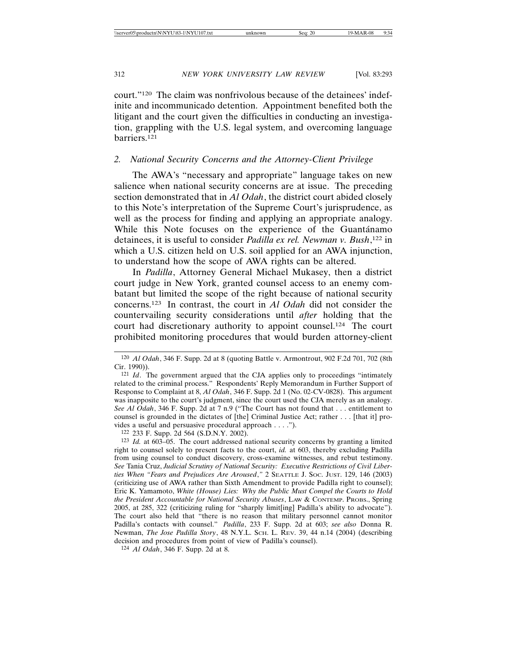court."120 The claim was nonfrivolous because of the detainees' indefinite and incommunicado detention. Appointment benefited both the litigant and the court given the difficulties in conducting an investigation, grappling with the U.S. legal system, and overcoming language barriers.121

# *2. National Security Concerns and the Attorney-Client Privilege*

The AWA's "necessary and appropriate" language takes on new salience when national security concerns are at issue. The preceding section demonstrated that in *Al Odah*, the district court abided closely to this Note's interpretation of the Supreme Court's jurisprudence, as well as the process for finding and applying an appropriate analogy. While this Note focuses on the experience of the Guantánamo detainees, it is useful to consider *Padilla ex rel. Newman v. Bush*, 122 in which a U.S. citizen held on U.S. soil applied for an AWA injunction, to understand how the scope of AWA rights can be altered.

In *Padilla*, Attorney General Michael Mukasey, then a district court judge in New York, granted counsel access to an enemy combatant but limited the scope of the right because of national security concerns.123 In contrast, the court in *Al Odah* did not consider the countervailing security considerations until *after* holding that the court had discretionary authority to appoint counsel.124 The court prohibited monitoring procedures that would burden attorney-client

122 233 F. Supp. 2d 564 (S.D.N.Y. 2002).

123 *Id.* at 603–05. The court addressed national security concerns by granting a limited right to counsel solely to present facts to the court, *id.* at 603, thereby excluding Padilla from using counsel to conduct discovery, cross-examine witnesses, and rebut testimony. *See* Tania Cruz, *Judicial Scrutiny of National Security: Executive Restrictions of Civil Liberties When "Fears and Prejudices Are Aroused*,*"* 2 SEATTLE J. SOC. JUST. 129, 146 (2003) (criticizing use of AWA rather than Sixth Amendment to provide Padilla right to counsel); Eric K. Yamamoto, *White (House) Lies: Why the Public Must Compel the Courts to Hold the President Accountable for National Security Abuses*, LAW & CONTEMP. PROBS., Spring 2005, at 285, 322 (criticizing ruling for "sharply limit[ing] Padilla's ability to advocate"). The court also held that "there is no reason that military personnel cannot monitor Padilla's contacts with counsel." *Padilla*, 233 F. Supp. 2d at 603; *see also* Donna R. Newman, *The Jose Padilla Story*, 48 N.Y.L. SCH. L. REV. 39, 44 n.14 (2004) (describing decision and procedures from point of view of Padilla's counsel).

124 *Al Odah*, 346 F. Supp. 2d at 8.

<sup>120</sup> *Al Odah*, 346 F. Supp. 2d at 8 (quoting Battle v. Armontrout, 902 F.2d 701, 702 (8th Cir. 1990)).

<sup>&</sup>lt;sup>121</sup> *Id.* The government argued that the CJA applies only to proceedings "intimately related to the criminal process." Respondents' Reply Memorandum in Further Support of Response to Complaint at 8, *Al Odah*, 346 F. Supp. 2d 1 (No. 02-CV-0828). This argument was inapposite to the court's judgment, since the court used the CJA merely as an analogy. *See Al Odah*, 346 F. Supp. 2d at 7 n.9 ("The Court has not found that . . . entitlement to counsel is grounded in the dictates of [the] Criminal Justice Act; rather . . . [that it] provides a useful and persuasive procedural approach . . . .").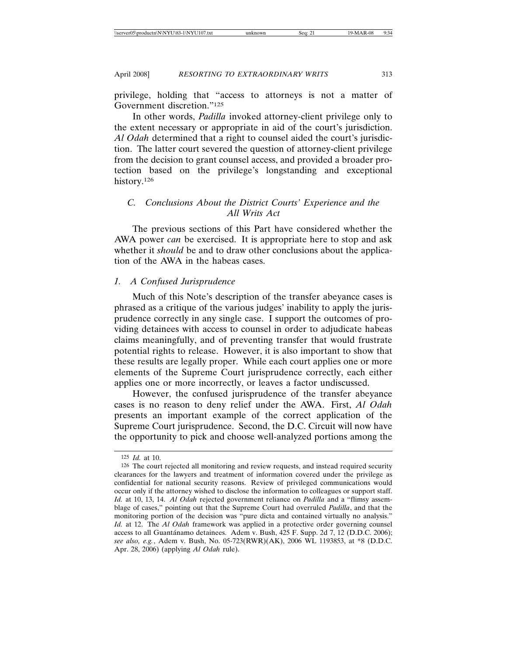privilege, holding that "access to attorneys is not a matter of Government discretion."125

In other words, *Padilla* invoked attorney-client privilege only to the extent necessary or appropriate in aid of the court's jurisdiction. *Al Odah* determined that a right to counsel aided the court's jurisdiction. The latter court severed the question of attorney-client privilege from the decision to grant counsel access, and provided a broader protection based on the privilege's longstanding and exceptional history.<sup>126</sup>

# *C. Conclusions About the District Courts' Experience and the All Writs Act*

The previous sections of this Part have considered whether the AWA power *can* be exercised. It is appropriate here to stop and ask whether it *should* be and to draw other conclusions about the application of the AWA in the habeas cases.

### *1. A Confused Jurisprudence*

Much of this Note's description of the transfer abeyance cases is phrased as a critique of the various judges' inability to apply the jurisprudence correctly in any single case. I support the outcomes of providing detainees with access to counsel in order to adjudicate habeas claims meaningfully, and of preventing transfer that would frustrate potential rights to release. However, it is also important to show that these results are legally proper. While each court applies one or more elements of the Supreme Court jurisprudence correctly, each either applies one or more incorrectly, or leaves a factor undiscussed.

However, the confused jurisprudence of the transfer abeyance cases is no reason to deny relief under the AWA. First, *Al Odah* presents an important example of the correct application of the Supreme Court jurisprudence. Second, the D.C. Circuit will now have the opportunity to pick and choose well-analyzed portions among the

<sup>125</sup> *Id.* at 10.

<sup>126</sup> The court rejected all monitoring and review requests, and instead required security clearances for the lawyers and treatment of information covered under the privilege as confidential for national security reasons. Review of privileged communications would occur only if the attorney wished to disclose the information to colleagues or support staff. *Id.* at 10, 13, 14. *Al Odah* rejected government reliance on *Padilla* and a "flimsy assemblage of cases," pointing out that the Supreme Court had overruled *Padilla*, and that the monitoring portion of the decision was "pure dicta and contained virtually no analysis." *Id.* at 12. The *Al Odah* framework was applied in a protective order governing counsel access to all Guantánamo detainees. Adem v. Bush, 425 F. Supp. 2d 7, 12 (D.D.C. 2006); *see also, e.g.*, Adem v. Bush, No. 05-723(RWR)(AK), 2006 WL 1193853, at \*8 (D.D.C. Apr. 28, 2006) (applying *Al Odah* rule).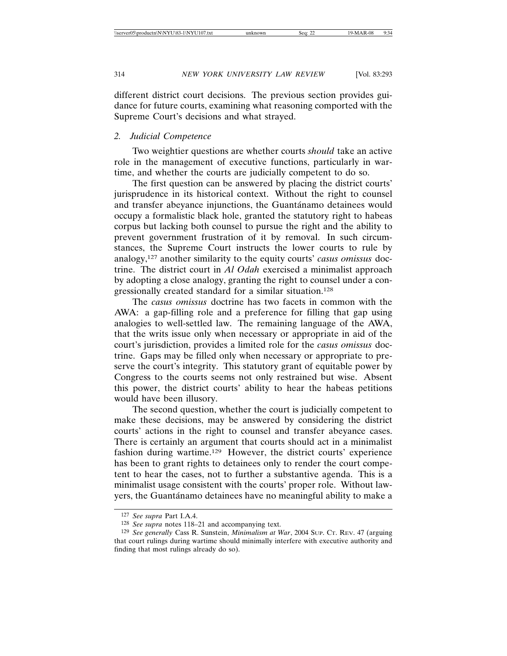different district court decisions. The previous section provides guidance for future courts, examining what reasoning comported with the Supreme Court's decisions and what strayed.

# *2. Judicial Competence*

Two weightier questions are whether courts *should* take an active role in the management of executive functions, particularly in wartime, and whether the courts are judicially competent to do so.

The first question can be answered by placing the district courts' jurisprudence in its historical context. Without the right to counsel and transfer abeyance injunctions, the Guantánamo detainees would occupy a formalistic black hole, granted the statutory right to habeas corpus but lacking both counsel to pursue the right and the ability to prevent government frustration of it by removal. In such circumstances, the Supreme Court instructs the lower courts to rule by analogy,127 another similarity to the equity courts' *casus omissus* doctrine. The district court in *Al Odah* exercised a minimalist approach by adopting a close analogy, granting the right to counsel under a congressionally created standard for a similar situation.128

The *casus omissus* doctrine has two facets in common with the AWA: a gap-filling role and a preference for filling that gap using analogies to well-settled law. The remaining language of the AWA, that the writs issue only when necessary or appropriate in aid of the court's jurisdiction, provides a limited role for the *casus omissus* doctrine. Gaps may be filled only when necessary or appropriate to preserve the court's integrity. This statutory grant of equitable power by Congress to the courts seems not only restrained but wise. Absent this power, the district courts' ability to hear the habeas petitions would have been illusory.

The second question, whether the court is judicially competent to make these decisions, may be answered by considering the district courts' actions in the right to counsel and transfer abeyance cases. There is certainly an argument that courts should act in a minimalist fashion during wartime.129 However, the district courts' experience has been to grant rights to detainees only to render the court competent to hear the cases, not to further a substantive agenda. This is a minimalist usage consistent with the courts' proper role. Without lawyers, the Guantánamo detainees have no meaningful ability to make a

<sup>127</sup> *See supra* Part I.A.4.

<sup>128</sup> *See supra* notes 118–21 and accompanying text.

<sup>129</sup> *See generally* Cass R. Sunstein, *Minimalism at War*, 2004 SUP. CT. REV. 47 (arguing that court rulings during wartime should minimally interfere with executive authority and finding that most rulings already do so).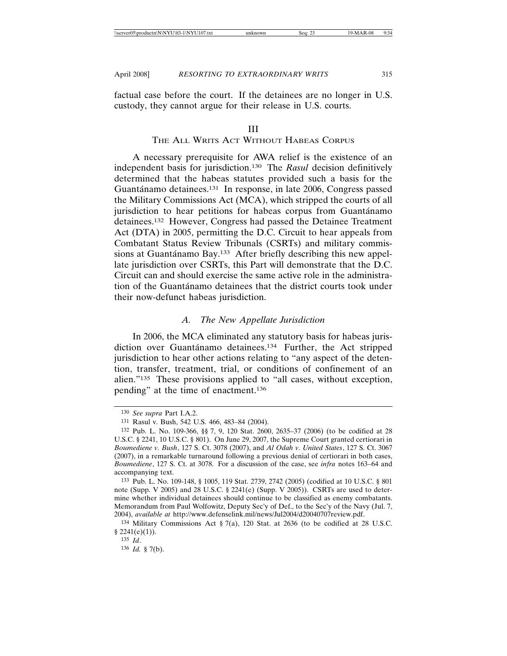factual case before the court. If the detainees are no longer in U.S. custody, they cannot argue for their release in U.S. courts.

#### III

# THE ALL WRITS ACT WITHOUT HABEAS CORPUS

A necessary prerequisite for AWA relief is the existence of an independent basis for jurisdiction.130 The *Rasul* decision definitively determined that the habeas statutes provided such a basis for the Guantánamo detainees.<sup>131</sup> In response, in late 2006, Congress passed the Military Commissions Act (MCA), which stripped the courts of all jurisdiction to hear petitions for habeas corpus from Guantánamo detainees.132 However, Congress had passed the Detainee Treatment Act (DTA) in 2005, permitting the D.C. Circuit to hear appeals from Combatant Status Review Tribunals (CSRTs) and military commissions at Guantánamo Bay.<sup>133</sup> After briefly describing this new appellate jurisdiction over CSRTs, this Part will demonstrate that the D.C. Circuit can and should exercise the same active role in the administration of the Guantanamo detainees that the district courts took under their now-defunct habeas jurisdiction.

### *A. The New Appellate Jurisdiction*

In 2006, the MCA eliminated any statutory basis for habeas jurisdiction over Guantánamo detainees.<sup>134</sup> Further, the Act stripped jurisdiction to hear other actions relating to "any aspect of the detention, transfer, treatment, trial, or conditions of confinement of an alien."135 These provisions applied to "all cases, without exception, pending" at the time of enactment.136

<sup>130</sup> *See supra* Part I.A.2.

<sup>131</sup> Rasul v. Bush, 542 U.S. 466, 483–84 (2004).

<sup>132</sup> Pub. L. No. 109-366, §§ 7, 9, 120 Stat. 2600, 2635–37 (2006) (to be codified at 28 U.S.C. § 2241, 10 U.S.C. § 801). On June 29, 2007, the Supreme Court granted certiorari in *Boumediene v. Bush*, 127 S. Ct. 3078 (2007), and *Al Odah v. United States*, 127 S. Ct. 3067 (2007), in a remarkable turnaround following a previous denial of certiorari in both cases, *Boumediene*, 127 S. Ct. at 3078. For a discussion of the case, see *infra* notes 163–64 and accompanying text.

<sup>133</sup> Pub. L. No. 109-148, § 1005, 119 Stat. 2739, 2742 (2005) (codified at 10 U.S.C. § 801 note (Supp. V 2005) and 28 U.S.C. § 2241(e) (Supp. V 2005)). CSRTs are used to determine whether individual detainees should continue to be classified as enemy combatants. Memorandum from Paul Wolfowitz, Deputy Sec'y of Def., to the Sec'y of the Navy (Jul. 7, 2004), *available at* http://www.defenselink.mil/news/Jul2004/d20040707review.pdf.

<sup>134</sup> Military Commissions Act § 7(a), 120 Stat. at 2636 (to be codified at 28 U.S.C.  $§ 2241(e)(1)$ .

<sup>135</sup> *Id*.

<sup>136</sup> *Id.* § 7(b).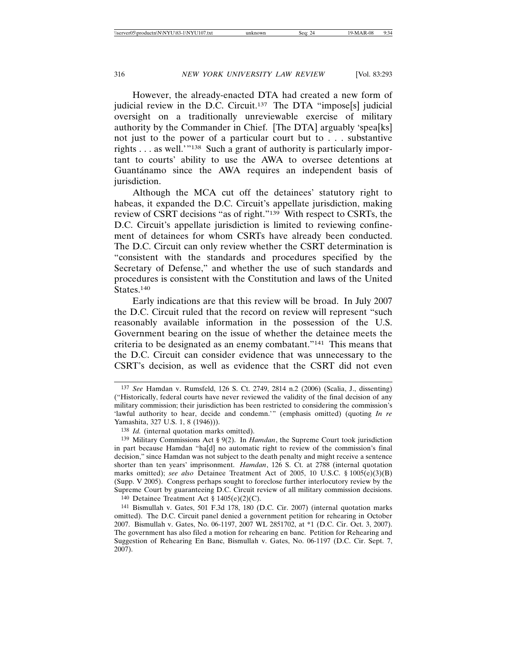However, the already-enacted DTA had created a new form of judicial review in the D.C. Circuit.<sup>137</sup> The DTA "impose<sup>[s]</sup> judicial oversight on a traditionally unreviewable exercise of military authority by the Commander in Chief. [The DTA] arguably 'spea[ks] not just to the power of a particular court but to . . . substantive rights . . . as well.'"138 Such a grant of authority is particularly important to courts' ability to use the AWA to oversee detentions at Guantánamo since the AWA requires an independent basis of jurisdiction.

Although the MCA cut off the detainees' statutory right to habeas, it expanded the D.C. Circuit's appellate jurisdiction, making review of CSRT decisions "as of right."139 With respect to CSRTs, the D.C. Circuit's appellate jurisdiction is limited to reviewing confinement of detainees for whom CSRTs have already been conducted. The D.C. Circuit can only review whether the CSRT determination is "consistent with the standards and procedures specified by the Secretary of Defense," and whether the use of such standards and procedures is consistent with the Constitution and laws of the United States.<sup>140</sup>

Early indications are that this review will be broad. In July 2007 the D.C. Circuit ruled that the record on review will represent "such reasonably available information in the possession of the U.S. Government bearing on the issue of whether the detainee meets the criteria to be designated as an enemy combatant."141 This means that the D.C. Circuit can consider evidence that was unnecessary to the CSRT's decision, as well as evidence that the CSRT did not even

<sup>140</sup> Detainee Treatment Act  $§$  1405(e)(2)(C).

<sup>137</sup> *See* Hamdan v. Rumsfeld, 126 S. Ct. 2749, 2814 n.2 (2006) (Scalia, J., dissenting) ("Historically, federal courts have never reviewed the validity of the final decision of any military commission; their jurisdiction has been restricted to considering the commission's 'lawful authority to hear, decide and condemn.'" (emphasis omitted) (quoting *In re* Yamashita, 327 U.S. 1, 8 (1946))).

<sup>138</sup> *Id.* (internal quotation marks omitted).

<sup>139</sup> Military Commissions Act § 9(2). In *Hamdan*, the Supreme Court took jurisdiction in part because Hamdan "ha[d] no automatic right to review of the commission's final decision," since Hamdan was not subject to the death penalty and might receive a sentence shorter than ten years' imprisonment. *Hamdan*, 126 S. Ct. at 2788 (internal quotation marks omitted); *see also* Detainee Treatment Act of 2005, 10 U.S.C. § 1005(e)(3)(B) (Supp. V 2005). Congress perhaps sought to foreclose further interlocutory review by the Supreme Court by guaranteeing D.C. Circuit review of all military commission decisions.

<sup>141</sup> Bismullah v. Gates, 501 F.3d 178, 180 (D.C. Cir. 2007) (internal quotation marks omitted). The D.C. Circuit panel denied a government petition for rehearing in October 2007. Bismullah v. Gates, No. 06-1197, 2007 WL 2851702, at \*1 (D.C. Cir. Oct. 3, 2007). The government has also filed a motion for rehearing en banc. Petition for Rehearing and Suggestion of Rehearing En Banc, Bismullah v. Gates, No. 06-1197 (D.C. Cir. Sept. 7, 2007).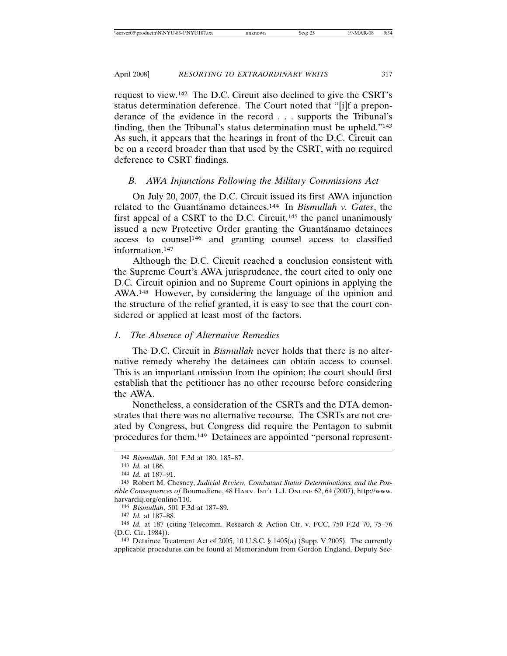request to view.142 The D.C. Circuit also declined to give the CSRT's status determination deference. The Court noted that "[i]f a preponderance of the evidence in the record . . . supports the Tribunal's finding, then the Tribunal's status determination must be upheld."143 As such, it appears that the hearings in front of the D.C. Circuit can be on a record broader than that used by the CSRT, with no required deference to CSRT findings.

### *B. AWA Injunctions Following the Military Commissions Act*

On July 20, 2007, the D.C. Circuit issued its first AWA injunction related to the Guantánamo detainees.<sup>144</sup> In *Bismullah v. Gates*, the first appeal of a CSRT to the D.C. Circuit,<sup>145</sup> the panel unanimously issued a new Protective Order granting the Guantanamo detainees access to counsel146 and granting counsel access to classified information.147

Although the D.C. Circuit reached a conclusion consistent with the Supreme Court's AWA jurisprudence, the court cited to only one D.C. Circuit opinion and no Supreme Court opinions in applying the AWA.148 However, by considering the language of the opinion and the structure of the relief granted, it is easy to see that the court considered or applied at least most of the factors.

### *1. The Absence of Alternative Remedies*

The D.C. Circuit in *Bismullah* never holds that there is no alternative remedy whereby the detainees can obtain access to counsel. This is an important omission from the opinion; the court should first establish that the petitioner has no other recourse before considering the AWA.

Nonetheless, a consideration of the CSRTs and the DTA demonstrates that there was no alternative recourse. The CSRTs are not created by Congress, but Congress did require the Pentagon to submit procedures for them.149 Detainees are appointed "personal represent-

<sup>142</sup> *Bismullah*, 501 F.3d at 180, 185–87.

<sup>143</sup> *Id.* at 186.

<sup>144</sup> *Id.* at 187–91.

<sup>145</sup> Robert M. Chesney, *Judicial Review, Combatant Status Determinations, and the Possible Consequences of* Boumediene, 48 HARV. INT'L L.J. ONLINE 62, 64 (2007), http://www. harvardilj.org/online/110.

<sup>146</sup> *Bismullah*, 501 F.3d at 187–89.

<sup>147</sup> *Id.* at 187–88.

<sup>148</sup> *Id.* at 187 (citing Telecomm. Research & Action Ctr. v. FCC, 750 F.2d 70, 75–76 (D.C. Cir. 1984)).

<sup>149</sup> Detainee Treatment Act of 2005, 10 U.S.C. § 1405(a) (Supp. V 2005). The currently applicable procedures can be found at Memorandum from Gordon England, Deputy Sec-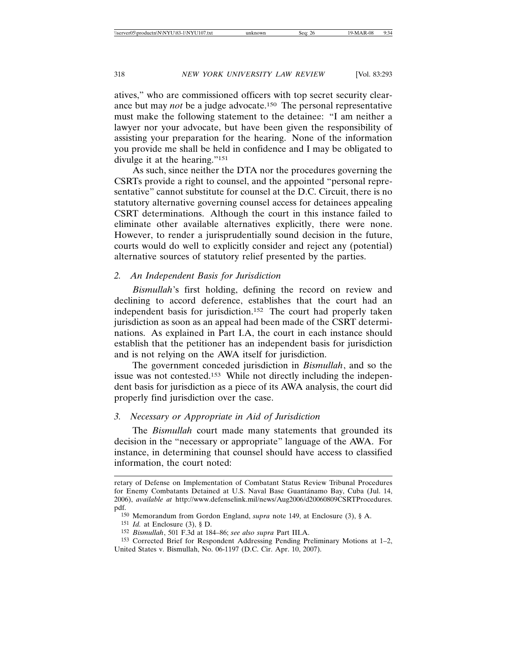atives," who are commissioned officers with top secret security clearance but may *not* be a judge advocate.150 The personal representative must make the following statement to the detainee: "I am neither a lawyer nor your advocate, but have been given the responsibility of assisting your preparation for the hearing. None of the information you provide me shall be held in confidence and I may be obligated to divulge it at the hearing."151

As such, since neither the DTA nor the procedures governing the CSRTs provide a right to counsel, and the appointed "personal representative" cannot substitute for counsel at the D.C. Circuit, there is no statutory alternative governing counsel access for detainees appealing CSRT determinations. Although the court in this instance failed to eliminate other available alternatives explicitly, there were none. However, to render a jurisprudentially sound decision in the future, courts would do well to explicitly consider and reject any (potential) alternative sources of statutory relief presented by the parties.

### *2. An Independent Basis for Jurisdiction*

*Bismullah*'s first holding, defining the record on review and declining to accord deference, establishes that the court had an independent basis for jurisdiction.152 The court had properly taken jurisdiction as soon as an appeal had been made of the CSRT determinations. As explained in Part I.A, the court in each instance should establish that the petitioner has an independent basis for jurisdiction and is not relying on the AWA itself for jurisdiction.

The government conceded jurisdiction in *Bismullah*, and so the issue was not contested.153 While not directly including the independent basis for jurisdiction as a piece of its AWA analysis, the court did properly find jurisdiction over the case.

### *3. Necessary or Appropriate in Aid of Jurisdiction*

The *Bismullah* court made many statements that grounded its decision in the "necessary or appropriate" language of the AWA. For instance, in determining that counsel should have access to classified information, the court noted:

retary of Defense on Implementation of Combatant Status Review Tribunal Procedures for Enemy Combatants Detained at U.S. Naval Base Guantánamo Bay, Cuba (Jul. 14, 2006), *available at* http://www.defenselink.mil/news/Aug2006/d20060809CSRTProcedures. pdf.

<sup>150</sup> Memorandum from Gordon England, *supra* note 149, at Enclosure (3), § A.

<sup>151</sup> *Id.* at Enclosure (3), § D.

<sup>152</sup> *Bismullah*, 501 F.3d at 184–86; *see also supra* Part III.A.

<sup>153</sup> Corrected Brief for Respondent Addressing Pending Preliminary Motions at 1–2, United States v. Bismullah, No. 06-1197 (D.C. Cir. Apr. 10, 2007).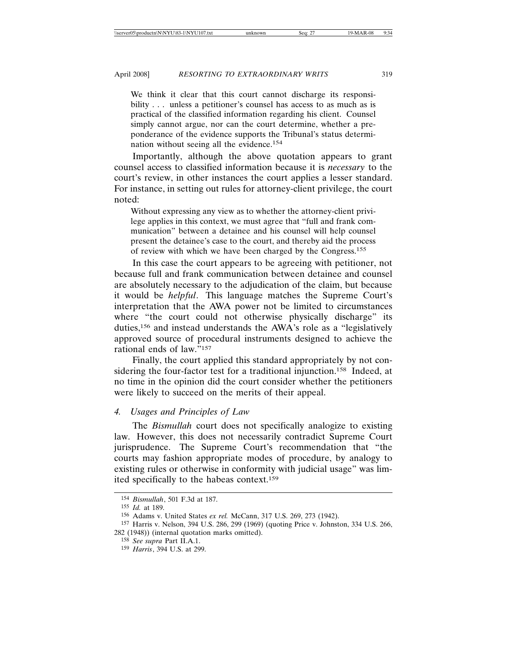We think it clear that this court cannot discharge its responsibility . . . unless a petitioner's counsel has access to as much as is practical of the classified information regarding his client. Counsel simply cannot argue, nor can the court determine, whether a preponderance of the evidence supports the Tribunal's status determination without seeing all the evidence.154

Importantly, although the above quotation appears to grant counsel access to classified information because it is *necessary* to the court's review, in other instances the court applies a lesser standard. For instance, in setting out rules for attorney-client privilege, the court noted:

Without expressing any view as to whether the attorney-client privilege applies in this context, we must agree that "full and frank communication" between a detainee and his counsel will help counsel present the detainee's case to the court, and thereby aid the process of review with which we have been charged by the Congress.155

In this case the court appears to be agreeing with petitioner, not because full and frank communication between detainee and counsel are absolutely necessary to the adjudication of the claim, but because it would be *helpful*. This language matches the Supreme Court's interpretation that the AWA power not be limited to circumstances where "the court could not otherwise physically discharge" its duties,156 and instead understands the AWA's role as a "legislatively approved source of procedural instruments designed to achieve the rational ends of law."157

Finally, the court applied this standard appropriately by not considering the four-factor test for a traditional injunction.158 Indeed, at no time in the opinion did the court consider whether the petitioners were likely to succeed on the merits of their appeal.

# *4. Usages and Principles of Law*

The *Bismullah* court does not specifically analogize to existing law. However, this does not necessarily contradict Supreme Court jurisprudence. The Supreme Court's recommendation that "the courts may fashion appropriate modes of procedure, by analogy to existing rules or otherwise in conformity with judicial usage" was limited specifically to the habeas context.159

<sup>154</sup> *Bismullah*, 501 F.3d at 187.

<sup>155</sup> *Id.* at 189.

<sup>156</sup> Adams v. United States *ex rel.* McCann, 317 U.S. 269, 273 (1942).

<sup>157</sup> Harris v. Nelson, 394 U.S. 286, 299 (1969) (quoting Price v. Johnston, 334 U.S. 266, 282 (1948)) (internal quotation marks omitted).

<sup>158</sup> *See supra* Part II.A.1.

<sup>159</sup> *Harris*, 394 U.S. at 299.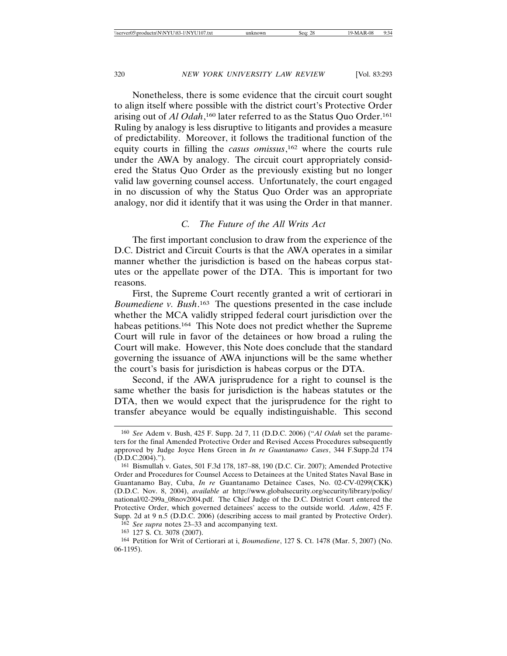Nonetheless, there is some evidence that the circuit court sought to align itself where possible with the district court's Protective Order arising out of *Al Odah*,<sup>160</sup> later referred to as the Status Quo Order.<sup>161</sup> Ruling by analogy is less disruptive to litigants and provides a measure of predictability. Moreover, it follows the traditional function of the equity courts in filling the *casus omissus*, 162 where the courts rule under the AWA by analogy. The circuit court appropriately considered the Status Quo Order as the previously existing but no longer valid law governing counsel access. Unfortunately, the court engaged in no discussion of why the Status Quo Order was an appropriate analogy, nor did it identify that it was using the Order in that manner.

### *C. The Future of the All Writs Act*

The first important conclusion to draw from the experience of the D.C. District and Circuit Courts is that the AWA operates in a similar manner whether the jurisdiction is based on the habeas corpus statutes or the appellate power of the DTA. This is important for two reasons.

First, the Supreme Court recently granted a writ of certiorari in *Boumediene v. Bush*. 163 The questions presented in the case include whether the MCA validly stripped federal court jurisdiction over the habeas petitions.<sup>164</sup> This Note does not predict whether the Supreme Court will rule in favor of the detainees or how broad a ruling the Court will make. However, this Note does conclude that the standard governing the issuance of AWA injunctions will be the same whether the court's basis for jurisdiction is habeas corpus or the DTA.

Second, if the AWA jurisprudence for a right to counsel is the same whether the basis for jurisdiction is the habeas statutes or the DTA, then we would expect that the jurisprudence for the right to transfer abeyance would be equally indistinguishable. This second

<sup>160</sup> *See* Adem v. Bush, 425 F. Supp. 2d 7, 11 (D.D.C. 2006) ("*Al Odah* set the parameters for the final Amended Protective Order and Revised Access Procedures subsequently approved by Judge Joyce Hens Green in *In re Guantanamo Cases*, 344 F.Supp.2d 174 (D.D.C.2004).").

<sup>161</sup> Bismullah v. Gates, 501 F.3d 178, 187–88, 190 (D.C. Cir. 2007); Amended Protective Order and Procedures for Counsel Access to Detainees at the United States Naval Base in Guantanamo Bay, Cuba, *In re* Guantanamo Detainee Cases, No. 02-CV-0299(CKK) (D.D.C. Nov. 8, 2004), *available at* http://www.globalsecurity.org/security/library/policy/ national/02-299a\_08nov2004.pdf. The Chief Judge of the D.C. District Court entered the Protective Order, which governed detainees' access to the outside world. *Adem*, 425 F. Supp. 2d at 9 n.5 (D.D.C. 2006) (describing access to mail granted by Protective Order).

<sup>162</sup> *See supra* notes 23–33 and accompanying text.

<sup>163</sup> 127 S. Ct. 3078 (2007).

<sup>164</sup> Petition for Writ of Certiorari at i, *Boumediene*, 127 S. Ct. 1478 (Mar. 5, 2007) (No. 06-1195).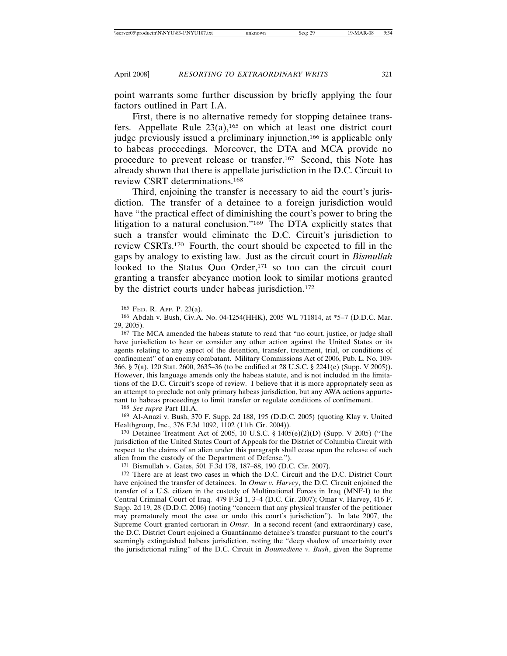point warrants some further discussion by briefly applying the four factors outlined in Part I.A.

First, there is no alternative remedy for stopping detainee transfers. Appellate Rule  $23(a)$ ,<sup>165</sup> on which at least one district court judge previously issued a preliminary injunction,166 is applicable only to habeas proceedings. Moreover, the DTA and MCA provide no procedure to prevent release or transfer.167 Second, this Note has already shown that there is appellate jurisdiction in the D.C. Circuit to review CSRT determinations.168

Third, enjoining the transfer is necessary to aid the court's jurisdiction. The transfer of a detainee to a foreign jurisdiction would have "the practical effect of diminishing the court's power to bring the litigation to a natural conclusion."169 The DTA explicitly states that such a transfer would eliminate the D.C. Circuit's jurisdiction to review CSRTs.170 Fourth, the court should be expected to fill in the gaps by analogy to existing law. Just as the circuit court in *Bismullah* looked to the Status Quo Order,<sup>171</sup> so too can the circuit court granting a transfer abeyance motion look to similar motions granted by the district courts under habeas jurisdiction.172

168 *See supra* Part III.A.

169 Al-Anazi v. Bush, 370 F. Supp. 2d 188, 195 (D.D.C. 2005) (quoting Klay v. United Healthgroup, Inc., 376 F.3d 1092, 1102 (11th Cir. 2004)).

170 Detainee Treatment Act of 2005, 10 U.S.C. § 1405(e)(2)(D) (Supp. V 2005) ("The jurisdiction of the United States Court of Appeals for the District of Columbia Circuit with respect to the claims of an alien under this paragraph shall cease upon the release of such alien from the custody of the Department of Defense.").

171 Bismullah v. Gates, 501 F.3d 178, 187–88, 190 (D.C. Cir. 2007).

172 There are at least two cases in which the D.C. Circuit and the D.C. District Court have enjoined the transfer of detainees. In *Omar v. Harvey*, the D.C. Circuit enjoined the transfer of a U.S. citizen in the custody of Multinational Forces in Iraq (MNF-I) to the Central Criminal Court of Iraq. 479 F.3d 1, 3–4 (D.C. Cir. 2007); Omar v. Harvey, 416 F. Supp. 2d 19, 28 (D.D.C. 2006) (noting "concern that any physical transfer of the petitioner may prematurely moot the case or undo this court's jurisdiction"). In late 2007, the Supreme Court granted certiorari in *Omar*. In a second recent (and extraordinary) case, the D.C. District Court enjoined a Guantánamo detainee's transfer pursuant to the court's seemingly extinguished habeas jurisdiction, noting the "deep shadow of uncertainty over the jurisdictional ruling" of the D.C. Circuit in *Boumediene v. Bush*, given the Supreme

<sup>165</sup> FED. R. APP. P. 23(a).

<sup>166</sup> Abdah v. Bush, Civ.A. No. 04-1254(HHK), 2005 WL 711814, at \*5–7 (D.D.C. Mar. 29, 2005).

<sup>&</sup>lt;sup>167</sup> The MCA amended the habeas statute to read that "no court, justice, or judge shall have jurisdiction to hear or consider any other action against the United States or its agents relating to any aspect of the detention, transfer, treatment, trial, or conditions of confinement" of an enemy combatant. Military Commissions Act of 2006, Pub. L. No. 109- 366, § 7(a), 120 Stat. 2600, 2635–36 (to be codified at 28 U.S.C. § 2241(e) (Supp. V 2005)). However, this language amends only the habeas statute, and is not included in the limitations of the D.C. Circuit's scope of review. I believe that it is more appropriately seen as an attempt to preclude not only primary habeas jurisdiction, but any AWA actions appurtenant to habeas proceedings to limit transfer or regulate conditions of confinement.